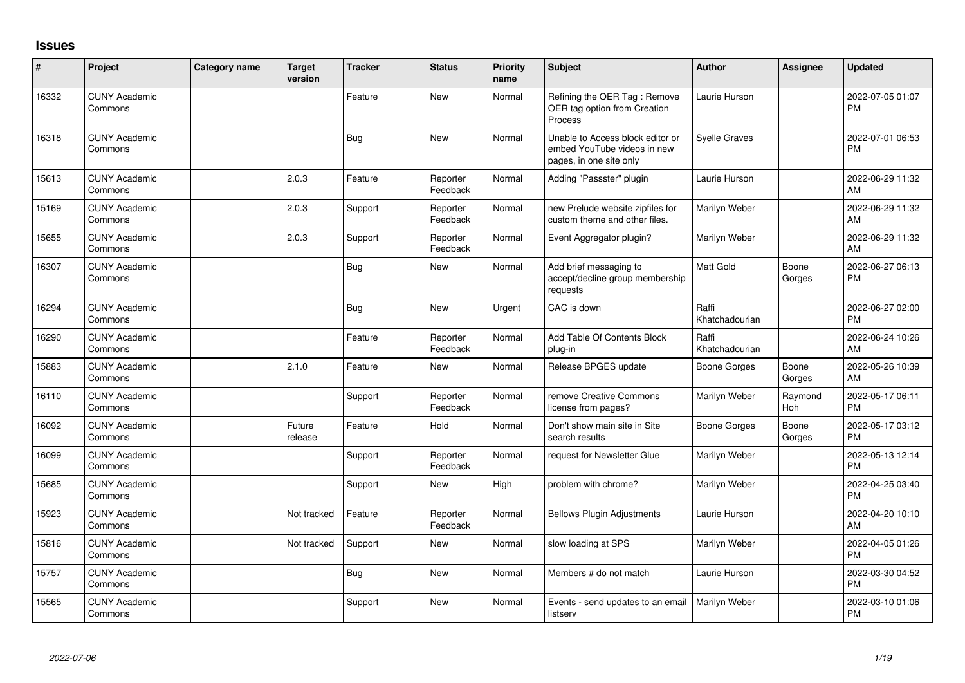## **Issues**

| #     | Project                         | <b>Category name</b> | Target<br>version | <b>Tracker</b> | <b>Status</b>        | Priority<br>name | <b>Subject</b>                                                                             | <b>Author</b>           | <b>Assignee</b> | <b>Updated</b>                |
|-------|---------------------------------|----------------------|-------------------|----------------|----------------------|------------------|--------------------------------------------------------------------------------------------|-------------------------|-----------------|-------------------------------|
| 16332 | <b>CUNY Academic</b><br>Commons |                      |                   | Feature        | <b>New</b>           | Normal           | Refining the OER Tag: Remove<br>OER tag option from Creation<br>Process                    | Laurie Hurson           |                 | 2022-07-05 01:07<br>PM        |
| 16318 | <b>CUNY Academic</b><br>Commons |                      |                   | Bug            | <b>New</b>           | Normal           | Unable to Access block editor or<br>embed YouTube videos in new<br>pages, in one site only | <b>Syelle Graves</b>    |                 | 2022-07-01 06:53<br><b>PM</b> |
| 15613 | <b>CUNY Academic</b><br>Commons |                      | 2.0.3             | Feature        | Reporter<br>Feedback | Normal           | Adding "Passster" plugin                                                                   | Laurie Hurson           |                 | 2022-06-29 11:32<br>AM        |
| 15169 | <b>CUNY Academic</b><br>Commons |                      | 2.0.3             | Support        | Reporter<br>Feedback | Normal           | new Prelude website zipfiles for<br>custom theme and other files.                          | Marilyn Weber           |                 | 2022-06-29 11:32<br>AM        |
| 15655 | <b>CUNY Academic</b><br>Commons |                      | 2.0.3             | Support        | Reporter<br>Feedback | Normal           | Event Aggregator plugin?                                                                   | Marilyn Weber           |                 | 2022-06-29 11:32<br>AM        |
| 16307 | <b>CUNY Academic</b><br>Commons |                      |                   | <b>Bug</b>     | <b>New</b>           | Normal           | Add brief messaging to<br>accept/decline group membership<br>requests                      | Matt Gold               | Boone<br>Gorges | 2022-06-27 06:13<br><b>PM</b> |
| 16294 | <b>CUNY Academic</b><br>Commons |                      |                   | Bug            | <b>New</b>           | Urgent           | CAC is down                                                                                | Raffi<br>Khatchadourian |                 | 2022-06-27 02:00<br><b>PM</b> |
| 16290 | <b>CUNY Academic</b><br>Commons |                      |                   | Feature        | Reporter<br>Feedback | Normal           | Add Table Of Contents Block<br>plug-in                                                     | Raffi<br>Khatchadourian |                 | 2022-06-24 10:26<br>AM        |
| 15883 | <b>CUNY Academic</b><br>Commons |                      | 2.1.0             | Feature        | <b>New</b>           | Normal           | Release BPGES update                                                                       | Boone Gorges            | Boone<br>Gorges | 2022-05-26 10:39<br>AM        |
| 16110 | <b>CUNY Academic</b><br>Commons |                      |                   | Support        | Reporter<br>Feedback | Normal           | remove Creative Commons<br>license from pages?                                             | Marilyn Weber           | Raymond<br>Hoh  | 2022-05-17 06:11<br><b>PM</b> |
| 16092 | <b>CUNY Academic</b><br>Commons |                      | Future<br>release | Feature        | Hold                 | Normal           | Don't show main site in Site<br>search results                                             | Boone Gorges            | Boone<br>Gorges | 2022-05-17 03:12<br><b>PM</b> |
| 16099 | <b>CUNY Academic</b><br>Commons |                      |                   | Support        | Reporter<br>Feedback | Normal           | request for Newsletter Glue                                                                | Marilyn Weber           |                 | 2022-05-13 12:14<br><b>PM</b> |
| 15685 | <b>CUNY Academic</b><br>Commons |                      |                   | Support        | New                  | High             | problem with chrome?                                                                       | Marilyn Weber           |                 | 2022-04-25 03:40<br><b>PM</b> |
| 15923 | <b>CUNY Academic</b><br>Commons |                      | Not tracked       | Feature        | Reporter<br>Feedback | Normal           | <b>Bellows Plugin Adjustments</b>                                                          | Laurie Hurson           |                 | 2022-04-20 10:10<br>AM        |
| 15816 | <b>CUNY Academic</b><br>Commons |                      | Not tracked       | Support        | <b>New</b>           | Normal           | slow loading at SPS                                                                        | Marilyn Weber           |                 | 2022-04-05 01:26<br><b>PM</b> |
| 15757 | <b>CUNY Academic</b><br>Commons |                      |                   | <b>Bug</b>     | <b>New</b>           | Normal           | Members # do not match                                                                     | Laurie Hurson           |                 | 2022-03-30 04:52<br><b>PM</b> |
| 15565 | CUNY Academic<br>Commons        |                      |                   | Support        | <b>New</b>           | Normal           | Events - send updates to an email<br>listserv                                              | Marilyn Weber           |                 | 2022-03-10 01:06<br><b>PM</b> |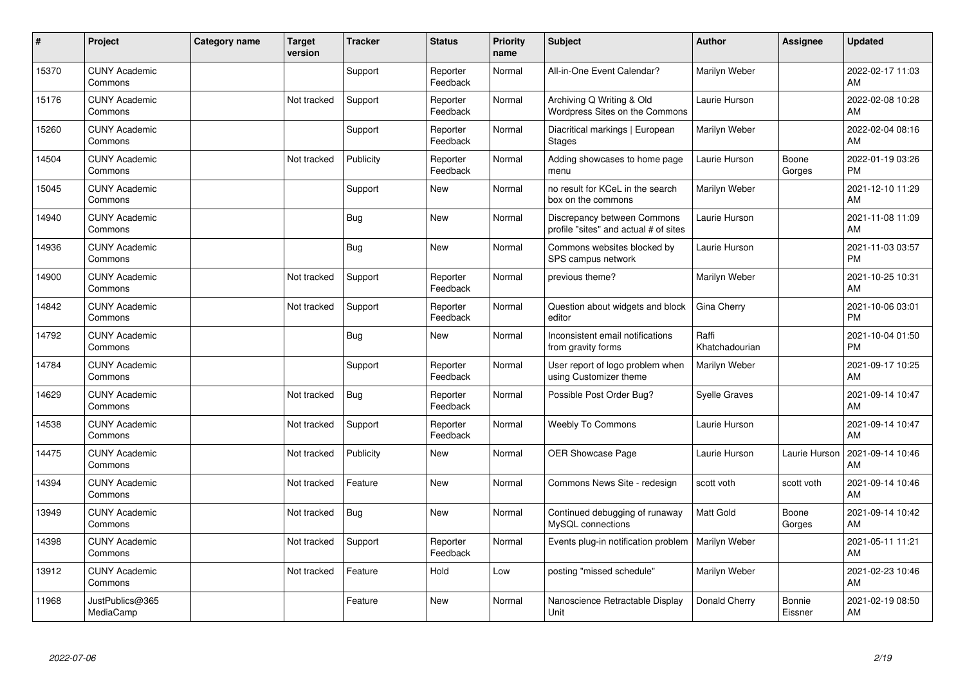| ∦     | Project                         | Category name | <b>Target</b><br>version | <b>Tracker</b> | <b>Status</b>        | <b>Priority</b><br>name | <b>Subject</b>                                                       | <b>Author</b>           | <b>Assignee</b>   | <b>Updated</b>                |
|-------|---------------------------------|---------------|--------------------------|----------------|----------------------|-------------------------|----------------------------------------------------------------------|-------------------------|-------------------|-------------------------------|
| 15370 | <b>CUNY Academic</b><br>Commons |               |                          | Support        | Reporter<br>Feedback | Normal                  | All-in-One Event Calendar?                                           | Marilyn Weber           |                   | 2022-02-17 11:03<br>AM        |
| 15176 | <b>CUNY Academic</b><br>Commons |               | Not tracked              | Support        | Reporter<br>Feedback | Normal                  | Archiving Q Writing & Old<br>Wordpress Sites on the Commons          | Laurie Hurson           |                   | 2022-02-08 10:28<br>AM        |
| 15260 | <b>CUNY Academic</b><br>Commons |               |                          | Support        | Reporter<br>Feedback | Normal                  | Diacritical markings   European<br><b>Stages</b>                     | Marilyn Weber           |                   | 2022-02-04 08:16<br>AM        |
| 14504 | <b>CUNY Academic</b><br>Commons |               | Not tracked              | Publicity      | Reporter<br>Feedback | Normal                  | Adding showcases to home page<br>menu                                | Laurie Hurson           | Boone<br>Gorges   | 2022-01-19 03:26<br><b>PM</b> |
| 15045 | <b>CUNY Academic</b><br>Commons |               |                          | Support        | <b>New</b>           | Normal                  | no result for KCeL in the search<br>box on the commons               | Marilyn Weber           |                   | 2021-12-10 11:29<br>AM        |
| 14940 | <b>CUNY Academic</b><br>Commons |               |                          | Bug            | <b>New</b>           | Normal                  | Discrepancy between Commons<br>profile "sites" and actual # of sites | Laurie Hurson           |                   | 2021-11-08 11:09<br>AM        |
| 14936 | <b>CUNY Academic</b><br>Commons |               |                          | <b>Bug</b>     | <b>New</b>           | Normal                  | Commons websites blocked by<br>SPS campus network                    | Laurie Hurson           |                   | 2021-11-03 03:57<br><b>PM</b> |
| 14900 | <b>CUNY Academic</b><br>Commons |               | Not tracked              | Support        | Reporter<br>Feedback | Normal                  | previous theme?                                                      | Marilyn Weber           |                   | 2021-10-25 10:31<br>AM        |
| 14842 | <b>CUNY Academic</b><br>Commons |               | Not tracked              | Support        | Reporter<br>Feedback | Normal                  | Question about widgets and block<br>editor                           | Gina Cherry             |                   | 2021-10-06 03:01<br><b>PM</b> |
| 14792 | <b>CUNY Academic</b><br>Commons |               |                          | <b>Bug</b>     | <b>New</b>           | Normal                  | Inconsistent email notifications<br>from gravity forms               | Raffi<br>Khatchadourian |                   | 2021-10-04 01:50<br><b>PM</b> |
| 14784 | <b>CUNY Academic</b><br>Commons |               |                          | Support        | Reporter<br>Feedback | Normal                  | User report of logo problem when<br>using Customizer theme           | Marilyn Weber           |                   | 2021-09-17 10:25<br>AM        |
| 14629 | <b>CUNY Academic</b><br>Commons |               | Not tracked              | <b>Bug</b>     | Reporter<br>Feedback | Normal                  | Possible Post Order Bug?                                             | <b>Syelle Graves</b>    |                   | 2021-09-14 10:47<br>AM        |
| 14538 | <b>CUNY Academic</b><br>Commons |               | Not tracked              | Support        | Reporter<br>Feedback | Normal                  | <b>Weebly To Commons</b>                                             | Laurie Hurson           |                   | 2021-09-14 10:47<br>AM        |
| 14475 | <b>CUNY Academic</b><br>Commons |               | Not tracked              | Publicity      | New                  | Normal                  | <b>OER Showcase Page</b>                                             | Laurie Hurson           | Laurie Hurson     | 2021-09-14 10:46<br>AM        |
| 14394 | <b>CUNY Academic</b><br>Commons |               | Not tracked              | Feature        | New                  | Normal                  | Commons News Site - redesign                                         | scott voth              | scott voth        | 2021-09-14 10:46<br>AM        |
| 13949 | <b>CUNY Academic</b><br>Commons |               | Not tracked              | Bug            | New                  | Normal                  | Continued debugging of runaway<br>MySQL connections                  | <b>Matt Gold</b>        | Boone<br>Gorges   | 2021-09-14 10:42<br>AM        |
| 14398 | <b>CUNY Academic</b><br>Commons |               | Not tracked              | Support        | Reporter<br>Feedback | Normal                  | Events plug-in notification problem                                  | Marilyn Weber           |                   | 2021-05-11 11:21<br>AM        |
| 13912 | <b>CUNY Academic</b><br>Commons |               | Not tracked              | Feature        | Hold                 | Low                     | posting "missed schedule"                                            | Marilyn Weber           |                   | 2021-02-23 10:46<br>AM        |
| 11968 | JustPublics@365<br>MediaCamp    |               |                          | Feature        | <b>New</b>           | Normal                  | Nanoscience Retractable Display<br>Unit                              | Donald Cherry           | Bonnie<br>Eissner | 2021-02-19 08:50<br>AM        |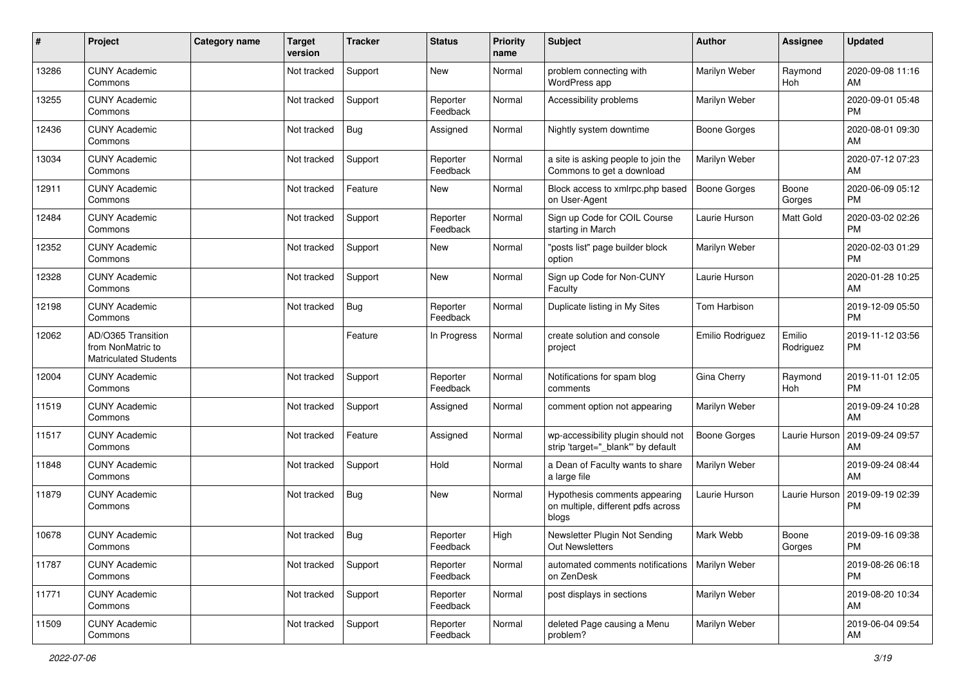| #     | Project                                                                 | <b>Category name</b> | <b>Target</b><br>version | <b>Tracker</b> | <b>Status</b>        | <b>Priority</b><br>name | <b>Subject</b>                                                               | <b>Author</b>       | <b>Assignee</b>     | <b>Updated</b>                |
|-------|-------------------------------------------------------------------------|----------------------|--------------------------|----------------|----------------------|-------------------------|------------------------------------------------------------------------------|---------------------|---------------------|-------------------------------|
| 13286 | <b>CUNY Academic</b><br>Commons                                         |                      | Not tracked              | Support        | <b>New</b>           | Normal                  | problem connecting with<br>WordPress app                                     | Marilyn Weber       | Raymond<br>Hoh      | 2020-09-08 11:16<br>AM        |
| 13255 | <b>CUNY Academic</b><br>Commons                                         |                      | Not tracked              | Support        | Reporter<br>Feedback | Normal                  | Accessibility problems                                                       | Marilyn Weber       |                     | 2020-09-01 05:48<br><b>PM</b> |
| 12436 | <b>CUNY Academic</b><br>Commons                                         |                      | Not tracked              | <b>Bug</b>     | Assigned             | Normal                  | Nightly system downtime                                                      | <b>Boone Gorges</b> |                     | 2020-08-01 09:30<br>AM        |
| 13034 | <b>CUNY Academic</b><br>Commons                                         |                      | Not tracked              | Support        | Reporter<br>Feedback | Normal                  | a site is asking people to join the<br>Commons to get a download             | Marilyn Weber       |                     | 2020-07-12 07:23<br>AM        |
| 12911 | <b>CUNY Academic</b><br>Commons                                         |                      | Not tracked              | Feature        | New                  | Normal                  | Block access to xmlrpc.php based<br>on User-Agent                            | Boone Gorges        | Boone<br>Gorges     | 2020-06-09 05:12<br><b>PM</b> |
| 12484 | <b>CUNY Academic</b><br>Commons                                         |                      | Not tracked              | Support        | Reporter<br>Feedback | Normal                  | Sign up Code for COIL Course<br>starting in March                            | Laurie Hurson       | Matt Gold           | 2020-03-02 02:26<br><b>PM</b> |
| 12352 | <b>CUNY Academic</b><br>Commons                                         |                      | Not tracked              | Support        | New                  | Normal                  | "posts list" page builder block<br>option                                    | Marilyn Weber       |                     | 2020-02-03 01:29<br><b>PM</b> |
| 12328 | <b>CUNY Academic</b><br>Commons                                         |                      | Not tracked              | Support        | <b>New</b>           | Normal                  | Sign up Code for Non-CUNY<br>Faculty                                         | Laurie Hurson       |                     | 2020-01-28 10:25<br>AM        |
| 12198 | <b>CUNY Academic</b><br>Commons                                         |                      | Not tracked              | Bug            | Reporter<br>Feedback | Normal                  | Duplicate listing in My Sites                                                | Tom Harbison        |                     | 2019-12-09 05:50<br><b>PM</b> |
| 12062 | AD/O365 Transition<br>from NonMatric to<br><b>Matriculated Students</b> |                      |                          | Feature        | In Progress          | Normal                  | create solution and console<br>project                                       | Emilio Rodriguez    | Emilio<br>Rodriguez | 2019-11-12 03:56<br><b>PM</b> |
| 12004 | <b>CUNY Academic</b><br>Commons                                         |                      | Not tracked              | Support        | Reporter<br>Feedback | Normal                  | Notifications for spam blog<br>comments                                      | Gina Cherry         | Raymond<br>Hoh      | 2019-11-01 12:05<br><b>PM</b> |
| 11519 | <b>CUNY Academic</b><br>Commons                                         |                      | Not tracked              | Support        | Assigned             | Normal                  | comment option not appearing                                                 | Marilyn Weber       |                     | 2019-09-24 10:28<br>AM        |
| 11517 | <b>CUNY Academic</b><br>Commons                                         |                      | Not tracked              | Feature        | Assigned             | Normal                  | wp-accessibility plugin should not<br>strip 'target="_blank" by default      | Boone Gorges        | Laurie Hurson       | 2019-09-24 09:57<br>AM        |
| 11848 | <b>CUNY Academic</b><br>Commons                                         |                      | Not tracked              | Support        | Hold                 | Normal                  | a Dean of Faculty wants to share<br>a large file                             | Marilyn Weber       |                     | 2019-09-24 08:44<br>AM        |
| 11879 | <b>CUNY Academic</b><br>Commons                                         |                      | Not tracked              | Bug            | New                  | Normal                  | Hypothesis comments appearing<br>on multiple, different pdfs across<br>blogs | Laurie Hurson       | Laurie Hurson       | 2019-09-19 02:39<br><b>PM</b> |
| 10678 | <b>CUNY Academic</b><br>Commons                                         |                      | Not tracked              | Bug            | Reporter<br>Feedback | High                    | Newsletter Plugin Not Sending<br>Out Newsletters                             | Mark Webb           | Boone<br>Gorges     | 2019-09-16 09:38<br><b>PM</b> |
| 11787 | <b>CUNY Academic</b><br>Commons                                         |                      | Not tracked              | Support        | Reporter<br>Feedback | Normal                  | automated comments notifications<br>on ZenDesk                               | Marilyn Weber       |                     | 2019-08-26 06:18<br><b>PM</b> |
| 11771 | <b>CUNY Academic</b><br>Commons                                         |                      | Not tracked              | Support        | Reporter<br>Feedback | Normal                  | post displays in sections                                                    | Marilyn Weber       |                     | 2019-08-20 10:34<br>AM        |
| 11509 | <b>CUNY Academic</b><br>Commons                                         |                      | Not tracked              | Support        | Reporter<br>Feedback | Normal                  | deleted Page causing a Menu<br>problem?                                      | Marilyn Weber       |                     | 2019-06-04 09:54<br>AM        |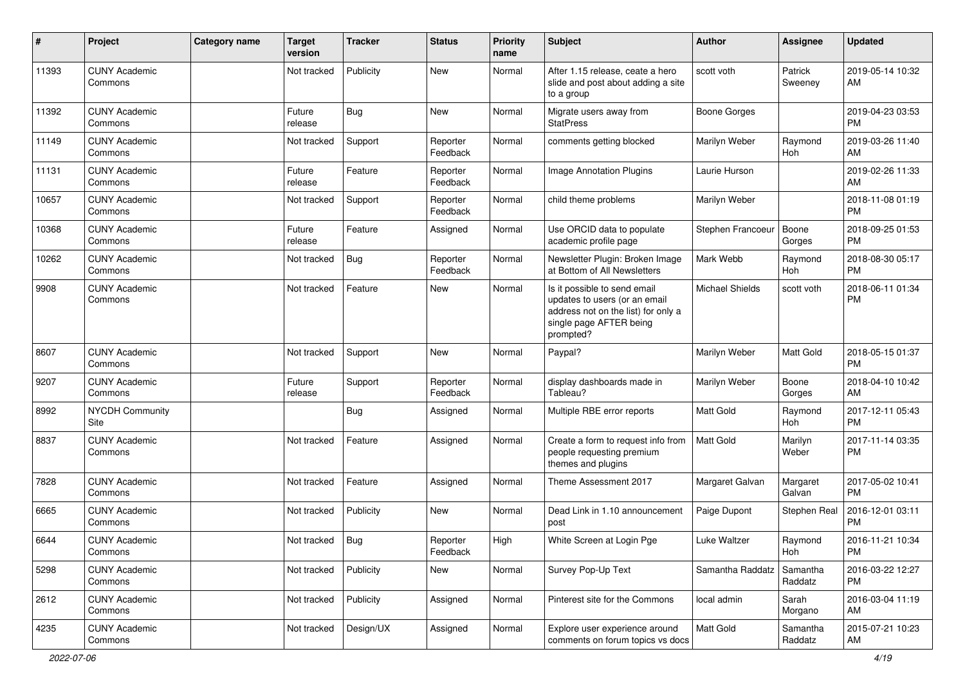| $\pmb{\#}$ | Project                         | <b>Category name</b> | <b>Target</b><br>version | <b>Tracker</b> | <b>Status</b>        | <b>Priority</b><br>name | <b>Subject</b>                                                                                                                               | Author              | <b>Assignee</b>     | <b>Updated</b>                |
|------------|---------------------------------|----------------------|--------------------------|----------------|----------------------|-------------------------|----------------------------------------------------------------------------------------------------------------------------------------------|---------------------|---------------------|-------------------------------|
| 11393      | <b>CUNY Academic</b><br>Commons |                      | Not tracked              | Publicity      | <b>New</b>           | Normal                  | After 1.15 release, ceate a hero<br>slide and post about adding a site<br>to a group                                                         | scott voth          | Patrick<br>Sweeney  | 2019-05-14 10:32<br>AM        |
| 11392      | <b>CUNY Academic</b><br>Commons |                      | Future<br>release        | <b>Bug</b>     | New                  | Normal                  | Migrate users away from<br><b>StatPress</b>                                                                                                  | <b>Boone Gorges</b> |                     | 2019-04-23 03:53<br><b>PM</b> |
| 11149      | <b>CUNY Academic</b><br>Commons |                      | Not tracked              | Support        | Reporter<br>Feedback | Normal                  | comments getting blocked                                                                                                                     | Marilyn Weber       | Raymond<br>Hoh      | 2019-03-26 11:40<br>AM        |
| 11131      | <b>CUNY Academic</b><br>Commons |                      | Future<br>release        | Feature        | Reporter<br>Feedback | Normal                  | Image Annotation Plugins                                                                                                                     | Laurie Hurson       |                     | 2019-02-26 11:33<br>AM        |
| 10657      | <b>CUNY Academic</b><br>Commons |                      | Not tracked              | Support        | Reporter<br>Feedback | Normal                  | child theme problems                                                                                                                         | Marilyn Weber       |                     | 2018-11-08 01:19<br><b>PM</b> |
| 10368      | <b>CUNY Academic</b><br>Commons |                      | Future<br>release        | Feature        | Assigned             | Normal                  | Use ORCID data to populate<br>academic profile page                                                                                          | Stephen Francoeur   | Boone<br>Gorges     | 2018-09-25 01:53<br><b>PM</b> |
| 10262      | <b>CUNY Academic</b><br>Commons |                      | Not tracked              | Bug            | Reporter<br>Feedback | Normal                  | Newsletter Plugin: Broken Image<br>at Bottom of All Newsletters                                                                              | Mark Webb           | Raymond<br>Hoh      | 2018-08-30 05:17<br><b>PM</b> |
| 9908       | <b>CUNY Academic</b><br>Commons |                      | Not tracked              | Feature        | New                  | Normal                  | Is it possible to send email<br>updates to users (or an email<br>address not on the list) for only a<br>single page AFTER being<br>prompted? | Michael Shields     | scott voth          | 2018-06-11 01:34<br><b>PM</b> |
| 8607       | <b>CUNY Academic</b><br>Commons |                      | Not tracked              | Support        | <b>New</b>           | Normal                  | Paypal?                                                                                                                                      | Marilyn Weber       | Matt Gold           | 2018-05-15 01:37<br><b>PM</b> |
| 9207       | <b>CUNY Academic</b><br>Commons |                      | Future<br>release        | Support        | Reporter<br>Feedback | Normal                  | display dashboards made in<br>Tableau?                                                                                                       | Marilyn Weber       | Boone<br>Gorges     | 2018-04-10 10:42<br>AM        |
| 8992       | <b>NYCDH Community</b><br>Site  |                      |                          | Bug            | Assigned             | Normal                  | Multiple RBE error reports                                                                                                                   | <b>Matt Gold</b>    | Raymond<br>Hoh      | 2017-12-11 05:43<br><b>PM</b> |
| 8837       | <b>CUNY Academic</b><br>Commons |                      | Not tracked              | Feature        | Assigned             | Normal                  | Create a form to request info from<br>people requesting premium<br>themes and plugins                                                        | Matt Gold           | Marilyn<br>Weber    | 2017-11-14 03:35<br><b>PM</b> |
| 7828       | <b>CUNY Academic</b><br>Commons |                      | Not tracked              | Feature        | Assigned             | Normal                  | Theme Assessment 2017                                                                                                                        | Margaret Galvan     | Margaret<br>Galvan  | 2017-05-02 10:41<br><b>PM</b> |
| 6665       | <b>CUNY Academic</b><br>Commons |                      | Not tracked              | Publicity      | <b>New</b>           | Normal                  | Dead Link in 1.10 announcement<br>post                                                                                                       | Paige Dupont        | Stephen Real        | 2016-12-01 03:11<br><b>PM</b> |
| 6644       | <b>CUNY Academic</b><br>Commons |                      | Not tracked              | <b>Bug</b>     | Reporter<br>Feedback | High                    | White Screen at Login Pge                                                                                                                    | Luke Waltzer        | Raymond<br>Hoh      | 2016-11-21 10:34<br>PM        |
| 5298       | <b>CUNY Academic</b><br>Commons |                      | Not tracked              | Publicity      | New                  | Normal                  | Survey Pop-Up Text                                                                                                                           | Samantha Raddatz    | Samantha<br>Raddatz | 2016-03-22 12:27<br><b>PM</b> |
| 2612       | <b>CUNY Academic</b><br>Commons |                      | Not tracked              | Publicity      | Assigned             | Normal                  | Pinterest site for the Commons                                                                                                               | local admin         | Sarah<br>Morgano    | 2016-03-04 11:19<br>AM        |
| 4235       | <b>CUNY Academic</b><br>Commons |                      | Not tracked              | Design/UX      | Assigned             | Normal                  | Explore user experience around<br>comments on forum topics vs docs                                                                           | Matt Gold           | Samantha<br>Raddatz | 2015-07-21 10:23<br>AM        |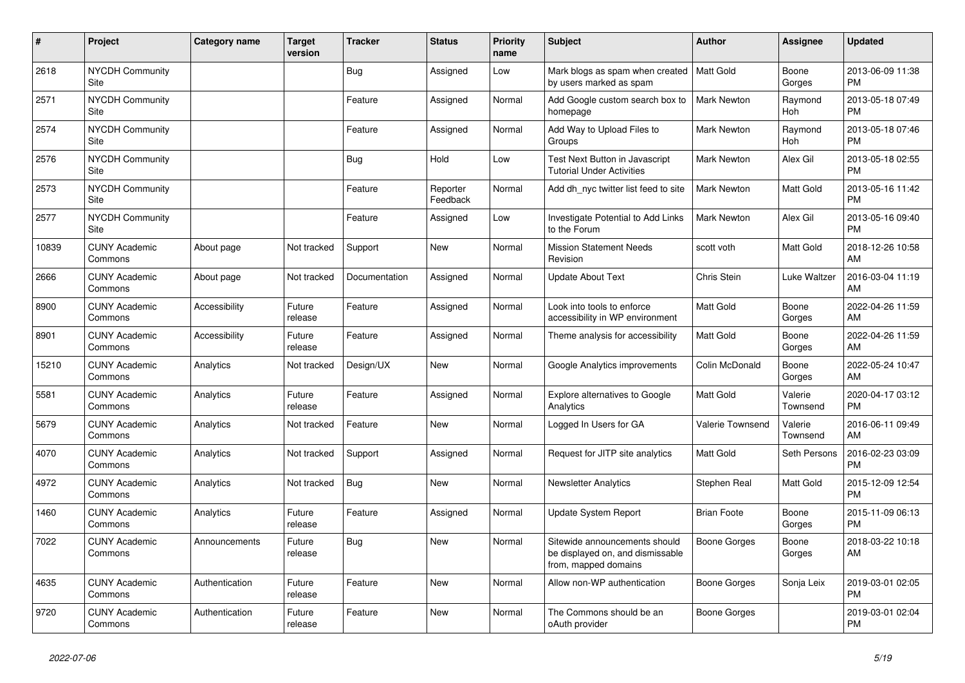| #     | Project                               | Category name  | <b>Target</b><br>version | <b>Tracker</b> | <b>Status</b>        | <b>Priority</b><br>name | <b>Subject</b>                                                                            | Author              | <b>Assignee</b>       | <b>Updated</b>                |
|-------|---------------------------------------|----------------|--------------------------|----------------|----------------------|-------------------------|-------------------------------------------------------------------------------------------|---------------------|-----------------------|-------------------------------|
| 2618  | <b>NYCDH Community</b><br>Site        |                |                          | Bug            | Assigned             | Low                     | Mark blogs as spam when created<br>by users marked as spam                                | <b>Matt Gold</b>    | Boone<br>Gorges       | 2013-06-09 11:38<br><b>PM</b> |
| 2571  | <b>NYCDH Community</b><br>Site        |                |                          | Feature        | Assigned             | Normal                  | Add Google custom search box to<br>homepage                                               | <b>Mark Newton</b>  | Raymond<br>Hoh        | 2013-05-18 07:49<br><b>PM</b> |
| 2574  | <b>NYCDH Community</b><br>Site        |                |                          | Feature        | Assigned             | Normal                  | Add Way to Upload Files to<br>Groups                                                      | <b>Mark Newton</b>  | Raymond<br><b>Hoh</b> | 2013-05-18 07:46<br><b>PM</b> |
| 2576  | <b>NYCDH Community</b><br>Site        |                |                          | Bug            | Hold                 | Low                     | Test Next Button in Javascript<br><b>Tutorial Under Activities</b>                        | <b>Mark Newton</b>  | Alex Gil              | 2013-05-18 02:55<br><b>PM</b> |
| 2573  | <b>NYCDH Community</b><br>Site        |                |                          | Feature        | Reporter<br>Feedback | Normal                  | Add dh nyc twitter list feed to site                                                      | <b>Mark Newton</b>  | Matt Gold             | 2013-05-16 11:42<br><b>PM</b> |
| 2577  | <b>NYCDH Community</b><br><b>Site</b> |                |                          | Feature        | Assigned             | Low                     | Investigate Potential to Add Links<br>to the Forum                                        | Mark Newton         | Alex Gil              | 2013-05-16 09:40<br><b>PM</b> |
| 10839 | <b>CUNY Academic</b><br>Commons       | About page     | Not tracked              | Support        | <b>New</b>           | Normal                  | <b>Mission Statement Needs</b><br>Revision                                                | scott voth          | Matt Gold             | 2018-12-26 10:58<br>AM        |
| 2666  | <b>CUNY Academic</b><br>Commons       | About page     | Not tracked              | Documentation  | Assigned             | Normal                  | <b>Update About Text</b>                                                                  | Chris Stein         | <b>Luke Waltzer</b>   | 2016-03-04 11:19<br>AM        |
| 8900  | <b>CUNY Academic</b><br>Commons       | Accessibility  | Future<br>release        | Feature        | Assigned             | Normal                  | Look into tools to enforce<br>accessibility in WP environment                             | Matt Gold           | Boone<br>Gorges       | 2022-04-26 11:59<br>AM        |
| 8901  | <b>CUNY Academic</b><br>Commons       | Accessibility  | Future<br>release        | Feature        | Assigned             | Normal                  | Theme analysis for accessibility                                                          | Matt Gold           | Boone<br>Gorges       | 2022-04-26 11:59<br>AM        |
| 15210 | <b>CUNY Academic</b><br>Commons       | Analytics      | Not tracked              | Design/UX      | <b>New</b>           | Normal                  | Google Analytics improvements                                                             | Colin McDonald      | Boone<br>Gorges       | 2022-05-24 10:47<br>AM        |
| 5581  | <b>CUNY Academic</b><br>Commons       | Analytics      | Future<br>release        | Feature        | Assigned             | Normal                  | <b>Explore alternatives to Google</b><br>Analytics                                        | Matt Gold           | Valerie<br>Townsend   | 2020-04-17 03:12<br><b>PM</b> |
| 5679  | <b>CUNY Academic</b><br>Commons       | Analytics      | Not tracked              | Feature        | <b>New</b>           | Normal                  | Logged In Users for GA                                                                    | Valerie Townsend    | Valerie<br>Townsend   | 2016-06-11 09:49<br>AM        |
| 4070  | <b>CUNY Academic</b><br>Commons       | Analytics      | Not tracked              | Support        | Assigned             | Normal                  | Request for JITP site analytics                                                           | <b>Matt Gold</b>    | Seth Persons          | 2016-02-23 03:09<br><b>PM</b> |
| 4972  | <b>CUNY Academic</b><br>Commons       | Analytics      | Not tracked              | Bug            | <b>New</b>           | Normal                  | <b>Newsletter Analytics</b>                                                               | Stephen Real        | <b>Matt Gold</b>      | 2015-12-09 12:54<br><b>PM</b> |
| 1460  | <b>CUNY Academic</b><br>Commons       | Analytics      | Future<br>release        | Feature        | Assigned             | Normal                  | Update System Report                                                                      | <b>Brian Foote</b>  | Boone<br>Gorges       | 2015-11-09 06:13<br><b>PM</b> |
| 7022  | <b>CUNY Academic</b><br>Commons       | Announcements  | Future<br>release        | Bug            | <b>New</b>           | Normal                  | Sitewide announcements should<br>be displayed on, and dismissable<br>from, mapped domains | <b>Boone Gorges</b> | Boone<br>Gorges       | 2018-03-22 10:18<br>AM        |
| 4635  | <b>CUNY Academic</b><br>Commons       | Authentication | Future<br>release        | Feature        | New                  | Normal                  | Allow non-WP authentication                                                               | Boone Gorges        | Sonja Leix            | 2019-03-01 02:05<br><b>PM</b> |
| 9720  | <b>CUNY Academic</b><br>Commons       | Authentication | Future<br>release        | Feature        | <b>New</b>           | Normal                  | The Commons should be an<br>oAuth provider                                                | Boone Gorges        |                       | 2019-03-01 02:04<br><b>PM</b> |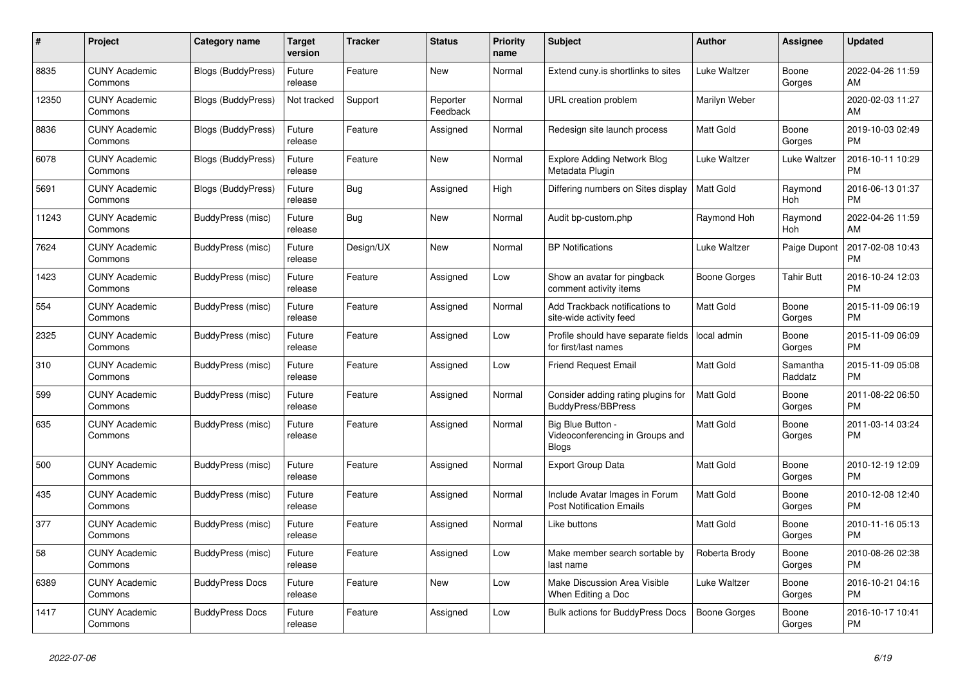| #     | Project                         | <b>Category name</b>      | <b>Target</b><br>version | <b>Tracker</b> | <b>Status</b>        | <b>Priority</b><br>name | <b>Subject</b>                                                     | <b>Author</b>    | <b>Assignee</b>     | <b>Updated</b>                |
|-------|---------------------------------|---------------------------|--------------------------|----------------|----------------------|-------------------------|--------------------------------------------------------------------|------------------|---------------------|-------------------------------|
| 8835  | <b>CUNY Academic</b><br>Commons | <b>Blogs (BuddyPress)</b> | Future<br>release        | Feature        | New                  | Normal                  | Extend cuny.is shortlinks to sites                                 | Luke Waltzer     | Boone<br>Gorges     | 2022-04-26 11:59<br>AM        |
| 12350 | <b>CUNY Academic</b><br>Commons | Blogs (BuddyPress)        | Not tracked              | Support        | Reporter<br>Feedback | Normal                  | URL creation problem                                               | Marilyn Weber    |                     | 2020-02-03 11:27<br>AM        |
| 8836  | <b>CUNY Academic</b><br>Commons | Blogs (BuddyPress)        | Future<br>release        | Feature        | Assigned             | Normal                  | Redesign site launch process                                       | <b>Matt Gold</b> | Boone<br>Gorges     | 2019-10-03 02:49<br><b>PM</b> |
| 6078  | <b>CUNY Academic</b><br>Commons | <b>Blogs (BuddyPress)</b> | Future<br>release        | Feature        | <b>New</b>           | Normal                  | <b>Explore Adding Network Blog</b><br>Metadata Plugin              | Luke Waltzer     | Luke Waltzer        | 2016-10-11 10:29<br><b>PM</b> |
| 5691  | <b>CUNY Academic</b><br>Commons | <b>Blogs (BuddyPress)</b> | Future<br>release        | Bug            | Assigned             | High                    | Differing numbers on Sites display                                 | <b>Matt Gold</b> | Raymond<br>Hoh      | 2016-06-13 01:37<br><b>PM</b> |
| 11243 | <b>CUNY Academic</b><br>Commons | BuddyPress (misc)         | Future<br>release        | <b>Bug</b>     | New                  | Normal                  | Audit bp-custom.php                                                | Raymond Hoh      | Raymond<br>Hoh      | 2022-04-26 11:59<br>AM        |
| 7624  | <b>CUNY Academic</b><br>Commons | BuddyPress (misc)         | Future<br>release        | Design/UX      | <b>New</b>           | Normal                  | <b>BP</b> Notifications                                            | Luke Waltzer     | Paige Dupont        | 2017-02-08 10:43<br><b>PM</b> |
| 1423  | <b>CUNY Academic</b><br>Commons | BuddyPress (misc)         | Future<br>release        | Feature        | Assigned             | Low                     | Show an avatar for pingback<br>comment activity items              | Boone Gorges     | <b>Tahir Butt</b>   | 2016-10-24 12:03<br><b>PM</b> |
| 554   | <b>CUNY Academic</b><br>Commons | BuddyPress (misc)         | Future<br>release        | Feature        | Assigned             | Normal                  | Add Trackback notifications to<br>site-wide activity feed          | <b>Matt Gold</b> | Boone<br>Gorges     | 2015-11-09 06:19<br><b>PM</b> |
| 2325  | <b>CUNY Academic</b><br>Commons | BuddyPress (misc)         | Future<br>release        | Feature        | Assigned             | Low                     | Profile should have separate fields<br>for first/last names        | l local admin    | Boone<br>Gorges     | 2015-11-09 06:09<br><b>PM</b> |
| 310   | <b>CUNY Academic</b><br>Commons | BuddyPress (misc)         | Future<br>release        | Feature        | Assigned             | Low                     | <b>Friend Request Email</b>                                        | Matt Gold        | Samantha<br>Raddatz | 2015-11-09 05:08<br><b>PM</b> |
| 599   | <b>CUNY Academic</b><br>Commons | BuddyPress (misc)         | Future<br>release        | Feature        | Assigned             | Normal                  | Consider adding rating plugins for<br><b>BuddyPress/BBPress</b>    | <b>Matt Gold</b> | Boone<br>Gorges     | 2011-08-22 06:50<br><b>PM</b> |
| 635   | <b>CUNY Academic</b><br>Commons | BuddyPress (misc)         | Future<br>release        | Feature        | Assigned             | Normal                  | Big Blue Button<br>Videoconferencing in Groups and<br><b>Blogs</b> | Matt Gold        | Boone<br>Gorges     | 2011-03-14 03:24<br><b>PM</b> |
| 500   | <b>CUNY Academic</b><br>Commons | BuddyPress (misc)         | Future<br>release        | Feature        | Assigned             | Normal                  | <b>Export Group Data</b>                                           | Matt Gold        | Boone<br>Gorges     | 2010-12-19 12:09<br><b>PM</b> |
| 435   | <b>CUNY Academic</b><br>Commons | BuddyPress (misc)         | Future<br>release        | Feature        | Assigned             | Normal                  | Include Avatar Images in Forum<br><b>Post Notification Emails</b>  | <b>Matt Gold</b> | Boone<br>Gorges     | 2010-12-08 12:40<br><b>PM</b> |
| 377   | <b>CUNY Academic</b><br>Commons | BuddyPress (misc)         | Future<br>release        | Feature        | Assigned             | Normal                  | Like buttons                                                       | <b>Matt Gold</b> | Boone<br>Gorges     | 2010-11-16 05:13<br><b>PM</b> |
| 58    | <b>CUNY Academic</b><br>Commons | <b>BuddyPress (misc)</b>  | Future<br>release        | Feature        | Assigned             | Low                     | Make member search sortable by<br>last name                        | Roberta Brody    | Boone<br>Gorges     | 2010-08-26 02:38<br><b>PM</b> |
| 6389  | <b>CUNY Academic</b><br>Commons | <b>BuddyPress Docs</b>    | Future<br>release        | Feature        | New                  | Low                     | Make Discussion Area Visible<br>When Editing a Doc                 | Luke Waltzer     | Boone<br>Gorges     | 2016-10-21 04:16<br><b>PM</b> |
| 1417  | <b>CUNY Academic</b><br>Commons | <b>BuddyPress Docs</b>    | Future<br>release        | Feature        | Assigned             | Low                     | Bulk actions for BuddyPress Docs                                   | Boone Gorges     | Boone<br>Gorges     | 2016-10-17 10:41<br><b>PM</b> |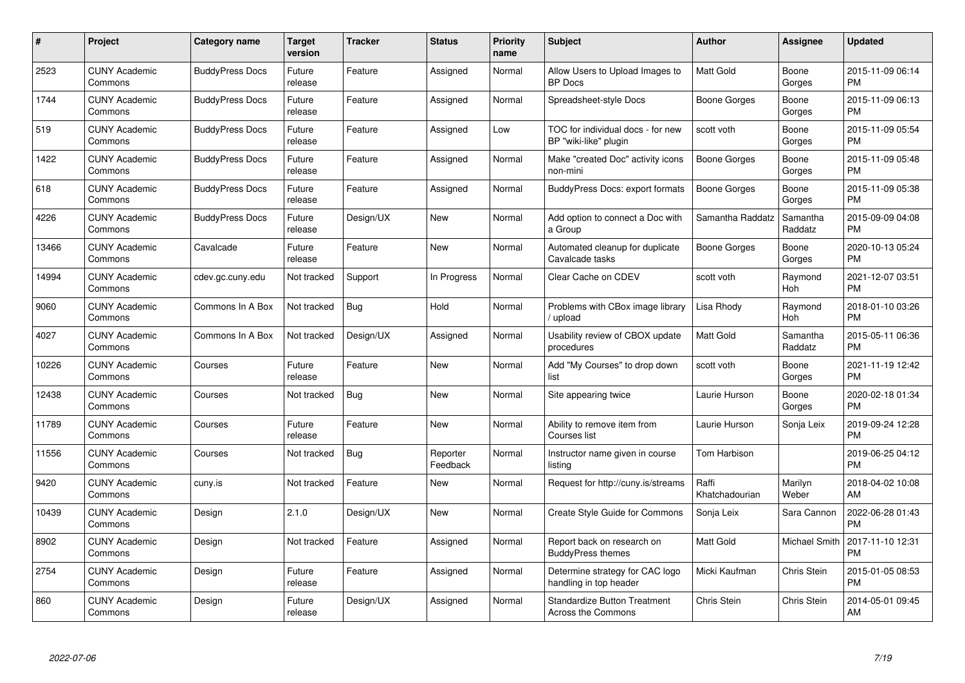| #     | Project                         | <b>Category name</b>   | <b>Target</b><br>version | <b>Tracker</b> | <b>Status</b>        | <b>Priority</b><br>name | <b>Subject</b>                                             | <b>Author</b>           | Assignee             | <b>Updated</b>                |
|-------|---------------------------------|------------------------|--------------------------|----------------|----------------------|-------------------------|------------------------------------------------------------|-------------------------|----------------------|-------------------------------|
| 2523  | <b>CUNY Academic</b><br>Commons | <b>BuddyPress Docs</b> | Future<br>release        | Feature        | Assigned             | Normal                  | Allow Users to Upload Images to<br><b>BP</b> Docs          | <b>Matt Gold</b>        | Boone<br>Gorges      | 2015-11-09 06:14<br><b>PM</b> |
| 1744  | <b>CUNY Academic</b><br>Commons | <b>BuddyPress Docs</b> | Future<br>release        | Feature        | Assigned             | Normal                  | Spreadsheet-style Docs                                     | Boone Gorges            | Boone<br>Gorges      | 2015-11-09 06:13<br><b>PM</b> |
| 519   | <b>CUNY Academic</b><br>Commons | <b>BuddyPress Docs</b> | Future<br>release        | Feature        | Assigned             | Low                     | TOC for individual docs - for new<br>BP "wiki-like" plugin | scott voth              | Boone<br>Gorges      | 2015-11-09 05:54<br><b>PM</b> |
| 1422  | <b>CUNY Academic</b><br>Commons | <b>BuddyPress Docs</b> | Future<br>release        | Feature        | Assigned             | Normal                  | Make "created Doc" activity icons<br>non-mini              | Boone Gorges            | Boone<br>Gorges      | 2015-11-09 05:48<br><b>PM</b> |
| 618   | <b>CUNY Academic</b><br>Commons | <b>BuddyPress Docs</b> | Future<br>release        | Feature        | Assigned             | Normal                  | <b>BuddyPress Docs: export formats</b>                     | <b>Boone Gorges</b>     | Boone<br>Gorges      | 2015-11-09 05:38<br><b>PM</b> |
| 4226  | <b>CUNY Academic</b><br>Commons | <b>BuddyPress Docs</b> | Future<br>release        | Design/UX      | New                  | Normal                  | Add option to connect a Doc with<br>a Group                | Samantha Raddatz        | Samantha<br>Raddatz  | 2015-09-09 04:08<br><b>PM</b> |
| 13466 | <b>CUNY Academic</b><br>Commons | Cavalcade              | Future<br>release        | Feature        | <b>New</b>           | Normal                  | Automated cleanup for duplicate<br>Cavalcade tasks         | Boone Gorges            | Boone<br>Gorges      | 2020-10-13 05:24<br><b>PM</b> |
| 14994 | <b>CUNY Academic</b><br>Commons | cdev.gc.cuny.edu       | Not tracked              | Support        | In Progress          | Normal                  | Clear Cache on CDEV                                        | scott voth              | Raymond<br>Hoh       | 2021-12-07 03:51<br><b>PM</b> |
| 9060  | <b>CUNY Academic</b><br>Commons | Commons In A Box       | Not tracked              | Bug            | Hold                 | Normal                  | Problems with CBox image library<br>/ upload               | Lisa Rhody              | Raymond<br>Hoh       | 2018-01-10 03:26<br><b>PM</b> |
| 4027  | <b>CUNY Academic</b><br>Commons | Commons In A Box       | Not tracked              | Design/UX      | Assigned             | Normal                  | Usability review of CBOX update<br>procedures              | Matt Gold               | Samantha<br>Raddatz  | 2015-05-11 06:36<br><b>PM</b> |
| 10226 | <b>CUNY Academic</b><br>Commons | Courses                | Future<br>release        | Feature        | <b>New</b>           | Normal                  | Add "My Courses" to drop down<br>list                      | scott voth              | Boone<br>Gorges      | 2021-11-19 12:42<br><b>PM</b> |
| 12438 | <b>CUNY Academic</b><br>Commons | Courses                | Not tracked              | <b>Bug</b>     | <b>New</b>           | Normal                  | Site appearing twice                                       | Laurie Hurson           | Boone<br>Gorges      | 2020-02-18 01:34<br><b>PM</b> |
| 11789 | <b>CUNY Academic</b><br>Commons | Courses                | Future<br>release        | Feature        | New                  | Normal                  | Ability to remove item from<br>Courses list                | Laurie Hurson           | Sonja Leix           | 2019-09-24 12:28<br><b>PM</b> |
| 11556 | <b>CUNY Academic</b><br>Commons | Courses                | Not tracked              | Bug            | Reporter<br>Feedback | Normal                  | Instructor name given in course<br>listing                 | Tom Harbison            |                      | 2019-06-25 04:12<br><b>PM</b> |
| 9420  | <b>CUNY Academic</b><br>Commons | cuny.is                | Not tracked              | Feature        | New                  | Normal                  | Request for http://cuny.is/streams                         | Raffi<br>Khatchadourian | Marilyn<br>Weber     | 2018-04-02 10:08<br>AM        |
| 10439 | <b>CUNY Academic</b><br>Commons | Design                 | 2.1.0                    | Design/UX      | <b>New</b>           | Normal                  | Create Style Guide for Commons                             | Sonja Leix              | Sara Cannon          | 2022-06-28 01:43<br><b>PM</b> |
| 8902  | <b>CUNY Academic</b><br>Commons | Design                 | Not tracked              | Feature        | Assigned             | Normal                  | Report back on research on<br><b>BuddyPress themes</b>     | Matt Gold               | <b>Michael Smith</b> | 2017-11-10 12:31<br><b>PM</b> |
| 2754  | <b>CUNY Academic</b><br>Commons | Design                 | Future<br>release        | Feature        | Assigned             | Normal                  | Determine strategy for CAC logo<br>handling in top header  | Micki Kaufman           | Chris Stein          | 2015-01-05 08:53<br><b>PM</b> |
| 860   | CUNY Academic<br>Commons        | Design                 | Future<br>release        | Design/UX      | Assigned             | Normal                  | <b>Standardize Button Treatment</b><br>Across the Commons  | Chris Stein             | Chris Stein          | 2014-05-01 09:45<br>AM        |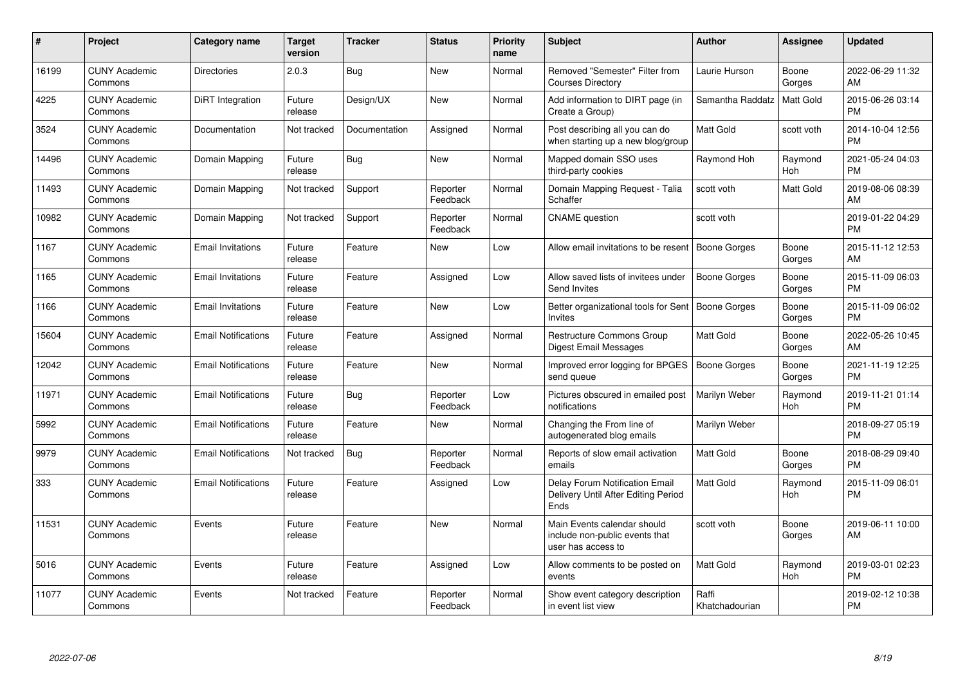| #     | Project                         | <b>Category name</b>       | <b>Target</b><br>version | <b>Tracker</b> | <b>Status</b>        | <b>Priority</b><br>name | <b>Subject</b>                                                                       | <b>Author</b>           | <b>Assignee</b> | <b>Updated</b>                |
|-------|---------------------------------|----------------------------|--------------------------|----------------|----------------------|-------------------------|--------------------------------------------------------------------------------------|-------------------------|-----------------|-------------------------------|
| 16199 | <b>CUNY Academic</b><br>Commons | <b>Directories</b>         | 2.0.3                    | <b>Bug</b>     | <b>New</b>           | Normal                  | Removed "Semester" Filter from<br><b>Courses Directory</b>                           | Laurie Hurson           | Boone<br>Gorges | 2022-06-29 11:32<br>AM        |
| 4225  | <b>CUNY Academic</b><br>Commons | DiRT Integration           | Future<br>release        | Design/UX      | New                  | Normal                  | Add information to DIRT page (in<br>Create a Group)                                  | Samantha Raddatz        | Matt Gold       | 2015-06-26 03:14<br><b>PM</b> |
| 3524  | <b>CUNY Academic</b><br>Commons | Documentation              | Not tracked              | Documentation  | Assigned             | Normal                  | Post describing all you can do<br>when starting up a new blog/group                  | Matt Gold               | scott voth      | 2014-10-04 12:56<br><b>PM</b> |
| 14496 | <b>CUNY Academic</b><br>Commons | Domain Mapping             | Future<br>release        | Bug            | <b>New</b>           | Normal                  | Mapped domain SSO uses<br>third-party cookies                                        | Raymond Hoh             | Raymond<br>Hoh  | 2021-05-24 04:03<br><b>PM</b> |
| 11493 | <b>CUNY Academic</b><br>Commons | Domain Mapping             | Not tracked              | Support        | Reporter<br>Feedback | Normal                  | Domain Mapping Request - Talia<br>Schaffer                                           | scott voth              | Matt Gold       | 2019-08-06 08:39<br>AM        |
| 10982 | <b>CUNY Academic</b><br>Commons | Domain Mapping             | Not tracked              | Support        | Reporter<br>Feedback | Normal                  | <b>CNAME</b> question                                                                | scott voth              |                 | 2019-01-22 04:29<br><b>PM</b> |
| 1167  | <b>CUNY Academic</b><br>Commons | <b>Email Invitations</b>   | Future<br>release        | Feature        | New                  | Low                     | Allow email invitations to be resent   Boone Gorges                                  |                         | Boone<br>Gorges | 2015-11-12 12:53<br>AM        |
| 1165  | <b>CUNY Academic</b><br>Commons | <b>Email Invitations</b>   | Future<br>release        | Feature        | Assigned             | Low                     | Allow saved lists of invitees under<br><b>Send Invites</b>                           | <b>Boone Gorges</b>     | Boone<br>Gorges | 2015-11-09 06:03<br><b>PM</b> |
| 1166  | <b>CUNY Academic</b><br>Commons | <b>Email Invitations</b>   | Future<br>release        | Feature        | New                  | Low                     | Better organizational tools for Sent   Boone Gorges<br><b>Invites</b>                |                         | Boone<br>Gorges | 2015-11-09 06:02<br><b>PM</b> |
| 15604 | <b>CUNY Academic</b><br>Commons | <b>Email Notifications</b> | Future<br>release        | Feature        | Assigned             | Normal                  | Restructure Commons Group<br>Digest Email Messages                                   | Matt Gold               | Boone<br>Gorges | 2022-05-26 10:45<br>AM        |
| 12042 | <b>CUNY Academic</b><br>Commons | <b>Email Notifications</b> | Future<br>release        | Feature        | New                  | Normal                  | Improved error logging for BPGES<br>send queue                                       | <b>Boone Gorges</b>     | Boone<br>Gorges | 2021-11-19 12:25<br><b>PM</b> |
| 11971 | <b>CUNY Academic</b><br>Commons | <b>Email Notifications</b> | Future<br>release        | Bug            | Reporter<br>Feedback | Low                     | Pictures obscured in emailed post<br>notifications                                   | Marilyn Weber           | Raymond<br>Hoh  | 2019-11-21 01:14<br><b>PM</b> |
| 5992  | <b>CUNY Academic</b><br>Commons | <b>Email Notifications</b> | Future<br>release        | Feature        | New                  | Normal                  | Changing the From line of<br>autogenerated blog emails                               | Marilyn Weber           |                 | 2018-09-27 05:19<br><b>PM</b> |
| 9979  | <b>CUNY Academic</b><br>Commons | <b>Email Notifications</b> | Not tracked              | Bug            | Reporter<br>Feedback | Normal                  | Reports of slow email activation<br>emails                                           | Matt Gold               | Boone<br>Gorges | 2018-08-29 09:40<br><b>PM</b> |
| 333   | <b>CUNY Academic</b><br>Commons | <b>Email Notifications</b> | Future<br>release        | Feature        | Assigned             | Low                     | <b>Delay Forum Notification Email</b><br>Delivery Until After Editing Period<br>Ends | <b>Matt Gold</b>        | Raymond<br>Hoh  | 2015-11-09 06:01<br><b>PM</b> |
| 11531 | <b>CUNY Academic</b><br>Commons | Events                     | Future<br>release        | Feature        | <b>New</b>           | Normal                  | Main Events calendar should<br>include non-public events that<br>user has access to  | scott voth              | Boone<br>Gorges | 2019-06-11 10:00<br>AM        |
| 5016  | <b>CUNY Academic</b><br>Commons | Events                     | Future<br>release        | Feature        | Assigned             | Low                     | Allow comments to be posted on<br>events                                             | <b>Matt Gold</b>        | Raymond<br>Hoh  | 2019-03-01 02:23<br><b>PM</b> |
| 11077 | <b>CUNY Academic</b><br>Commons | Events                     | Not tracked              | Feature        | Reporter<br>Feedback | Normal                  | Show event category description<br>in event list view                                | Raffi<br>Khatchadourian |                 | 2019-02-12 10:38<br><b>PM</b> |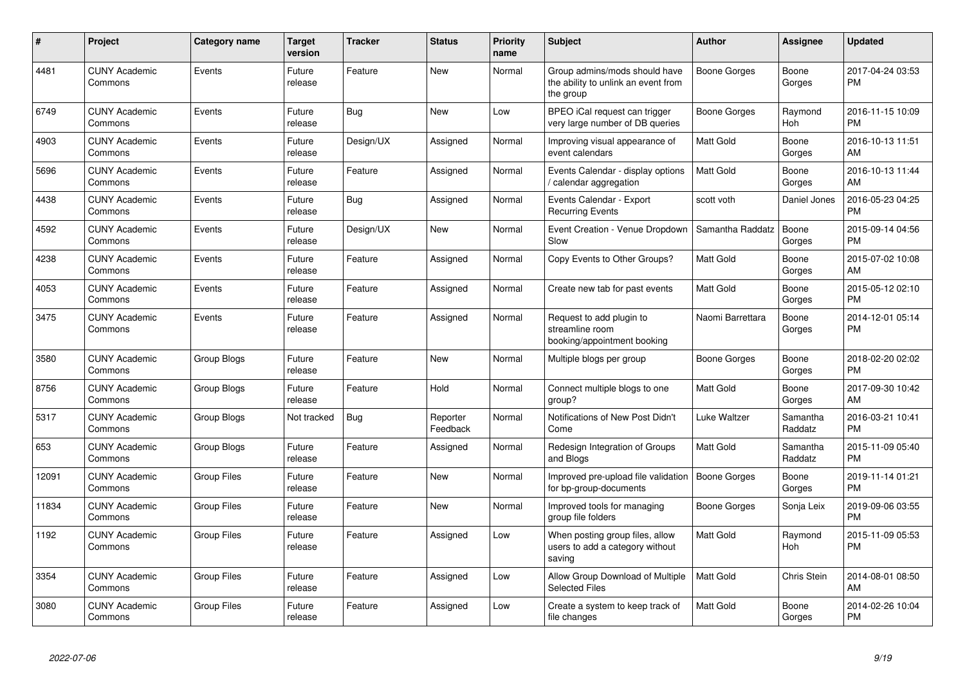| #     | Project                         | Category name      | <b>Target</b><br>version | <b>Tracker</b> | <b>Status</b>        | Priority<br>name | <b>Subject</b>                                                                    | <b>Author</b>       | <b>Assignee</b>     | <b>Updated</b>                |
|-------|---------------------------------|--------------------|--------------------------|----------------|----------------------|------------------|-----------------------------------------------------------------------------------|---------------------|---------------------|-------------------------------|
| 4481  | <b>CUNY Academic</b><br>Commons | Events             | Future<br>release        | Feature        | <b>New</b>           | Normal           | Group admins/mods should have<br>the ability to unlink an event from<br>the group | Boone Gorges        | Boone<br>Gorges     | 2017-04-24 03:53<br><b>PM</b> |
| 6749  | <b>CUNY Academic</b><br>Commons | Events             | Future<br>release        | Bug            | New                  | Low              | BPEO iCal request can trigger<br>very large number of DB queries                  | Boone Gorges        | Raymond<br>Hoh      | 2016-11-15 10:09<br><b>PM</b> |
| 4903  | <b>CUNY Academic</b><br>Commons | Events             | Future<br>release        | Design/UX      | Assigned             | Normal           | Improving visual appearance of<br>event calendars                                 | <b>Matt Gold</b>    | Boone<br>Gorges     | 2016-10-13 11:51<br>AM        |
| 5696  | <b>CUNY Academic</b><br>Commons | Events             | Future<br>release        | Feature        | Assigned             | Normal           | Events Calendar - display options<br>calendar aggregation /                       | <b>Matt Gold</b>    | Boone<br>Gorges     | 2016-10-13 11:44<br>AM        |
| 4438  | <b>CUNY Academic</b><br>Commons | Events             | Future<br>release        | Bug            | Assigned             | Normal           | Events Calendar - Export<br><b>Recurring Events</b>                               | scott voth          | Daniel Jones        | 2016-05-23 04:25<br><b>PM</b> |
| 4592  | <b>CUNY Academic</b><br>Commons | Events             | Future<br>release        | Design/UX      | <b>New</b>           | Normal           | Event Creation - Venue Dropdown<br>Slow                                           | Samantha Raddatz    | Boone<br>Gorges     | 2015-09-14 04:56<br><b>PM</b> |
| 4238  | <b>CUNY Academic</b><br>Commons | Events             | Future<br>release        | Feature        | Assigned             | Normal           | Copy Events to Other Groups?                                                      | <b>Matt Gold</b>    | Boone<br>Gorges     | 2015-07-02 10:08<br>AM        |
| 4053  | <b>CUNY Academic</b><br>Commons | Events             | Future<br>release        | Feature        | Assigned             | Normal           | Create new tab for past events                                                    | <b>Matt Gold</b>    | Boone<br>Gorges     | 2015-05-12 02:10<br><b>PM</b> |
| 3475  | <b>CUNY Academic</b><br>Commons | Events             | Future<br>release        | Feature        | Assigned             | Normal           | Request to add plugin to<br>streamline room<br>booking/appointment booking        | Naomi Barrettara    | Boone<br>Gorges     | 2014-12-01 05:14<br><b>PM</b> |
| 3580  | <b>CUNY Academic</b><br>Commons | Group Blogs        | Future<br>release        | Feature        | <b>New</b>           | Normal           | Multiple blogs per group                                                          | Boone Gorges        | Boone<br>Gorges     | 2018-02-20 02:02<br><b>PM</b> |
| 8756  | <b>CUNY Academic</b><br>Commons | Group Blogs        | Future<br>release        | Feature        | Hold                 | Normal           | Connect multiple blogs to one<br>group?                                           | <b>Matt Gold</b>    | Boone<br>Gorges     | 2017-09-30 10:42<br>AM        |
| 5317  | <b>CUNY Academic</b><br>Commons | Group Blogs        | Not tracked              | Bug            | Reporter<br>Feedback | Normal           | Notifications of New Post Didn't<br>Come                                          | Luke Waltzer        | Samantha<br>Raddatz | 2016-03-21 10:41<br><b>PM</b> |
| 653   | <b>CUNY Academic</b><br>Commons | Group Blogs        | Future<br>release        | Feature        | Assigned             | Normal           | Redesign Integration of Groups<br>and Blogs                                       | <b>Matt Gold</b>    | Samantha<br>Raddatz | 2015-11-09 05:40<br><b>PM</b> |
| 12091 | <b>CUNY Academic</b><br>Commons | <b>Group Files</b> | Future<br>release        | Feature        | New                  | Normal           | Improved pre-upload file validation<br>for bp-group-documents                     | <b>Boone Gorges</b> | Boone<br>Gorges     | 2019-11-14 01:21<br><b>PM</b> |
| 11834 | <b>CUNY Academic</b><br>Commons | <b>Group Files</b> | Future<br>release        | Feature        | <b>New</b>           | Normal           | Improved tools for managing<br>group file folders                                 | Boone Gorges        | Sonja Leix          | 2019-09-06 03:55<br><b>PM</b> |
| 1192  | <b>CUNY Academic</b><br>Commons | <b>Group Files</b> | Future<br>release        | Feature        | Assigned             | Low              | When posting group files, allow<br>users to add a category without<br>saving      | <b>Matt Gold</b>    | Raymond<br>Hoh      | 2015-11-09 05:53<br><b>PM</b> |
| 3354  | <b>CUNY Academic</b><br>Commons | <b>Group Files</b> | Future<br>release        | Feature        | Assigned             | Low              | Allow Group Download of Multiple<br><b>Selected Files</b>                         | <b>Matt Gold</b>    | Chris Stein         | 2014-08-01 08:50<br>AM        |
| 3080  | <b>CUNY Academic</b><br>Commons | Group Files        | Future<br>release        | Feature        | Assigned             | Low              | Create a system to keep track of<br>file changes                                  | <b>Matt Gold</b>    | Boone<br>Gorges     | 2014-02-26 10:04<br><b>PM</b> |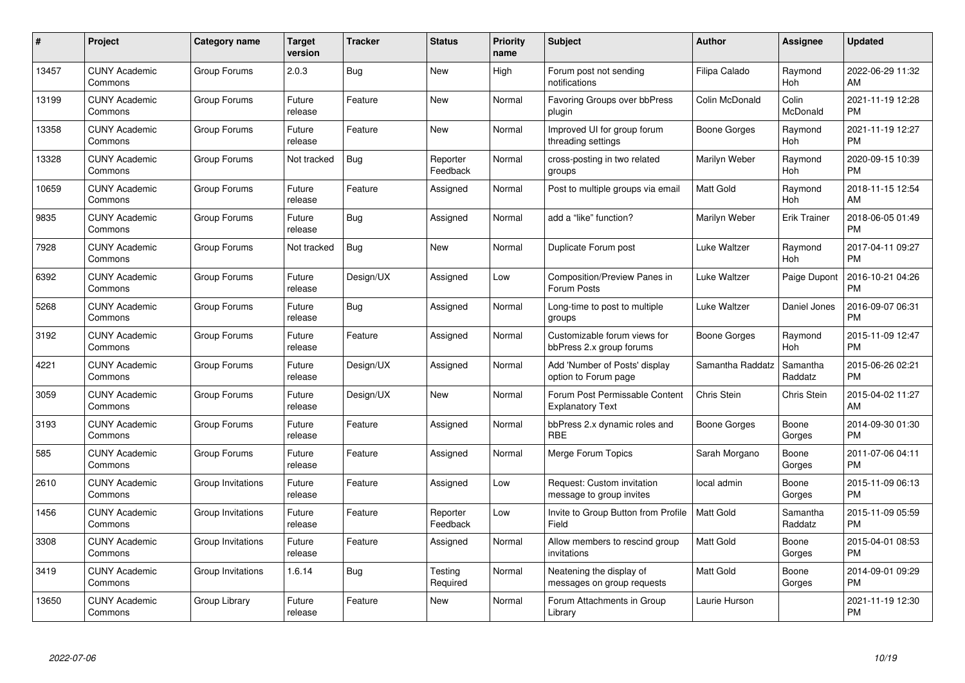| #     | Project                         | <b>Category name</b> | <b>Target</b><br>version | <b>Tracker</b> | <b>Status</b>        | <b>Priority</b><br>name | <b>Subject</b>                                            | <b>Author</b>       | Assignee            | <b>Updated</b>                |
|-------|---------------------------------|----------------------|--------------------------|----------------|----------------------|-------------------------|-----------------------------------------------------------|---------------------|---------------------|-------------------------------|
| 13457 | <b>CUNY Academic</b><br>Commons | Group Forums         | 2.0.3                    | Bug            | <b>New</b>           | High                    | Forum post not sending<br>notifications                   | Filipa Calado       | Raymond<br>Hoh      | 2022-06-29 11:32<br>AM        |
| 13199 | <b>CUNY Academic</b><br>Commons | Group Forums         | Future<br>release        | Feature        | New                  | Normal                  | <b>Favoring Groups over bbPress</b><br>plugin             | Colin McDonald      | Colin<br>McDonald   | 2021-11-19 12:28<br><b>PM</b> |
| 13358 | <b>CUNY Academic</b><br>Commons | Group Forums         | Future<br>release        | Feature        | <b>New</b>           | Normal                  | Improved UI for group forum<br>threading settings         | Boone Gorges        | Raymond<br>Hoh      | 2021-11-19 12:27<br><b>PM</b> |
| 13328 | <b>CUNY Academic</b><br>Commons | Group Forums         | Not tracked              | <b>Bug</b>     | Reporter<br>Feedback | Normal                  | cross-posting in two related<br>groups                    | Marilyn Weber       | Raymond<br>Hoh      | 2020-09-15 10:39<br><b>PM</b> |
| 10659 | <b>CUNY Academic</b><br>Commons | Group Forums         | Future<br>release        | Feature        | Assigned             | Normal                  | Post to multiple groups via email                         | <b>Matt Gold</b>    | Raymond<br>Hoh      | 2018-11-15 12:54<br>AM        |
| 9835  | <b>CUNY Academic</b><br>Commons | Group Forums         | Future<br>release        | Bug            | Assigned             | Normal                  | add a "like" function?                                    | Marilyn Weber       | <b>Erik Trainer</b> | 2018-06-05 01:49<br><b>PM</b> |
| 7928  | <b>CUNY Academic</b><br>Commons | Group Forums         | Not tracked              | <b>Bug</b>     | New                  | Normal                  | Duplicate Forum post                                      | Luke Waltzer        | Raymond<br>Hoh      | 2017-04-11 09:27<br><b>PM</b> |
| 6392  | <b>CUNY Academic</b><br>Commons | Group Forums         | Future<br>release        | Design/UX      | Assigned             | Low                     | <b>Composition/Preview Panes in</b><br>Forum Posts        | <b>Luke Waltzer</b> | Paige Dupont        | 2016-10-21 04:26<br><b>PM</b> |
| 5268  | <b>CUNY Academic</b><br>Commons | Group Forums         | Future<br>release        | Bug            | Assigned             | Normal                  | Long-time to post to multiple<br>groups                   | Luke Waltzer        | Daniel Jones        | 2016-09-07 06:31<br><b>PM</b> |
| 3192  | <b>CUNY Academic</b><br>Commons | Group Forums         | Future<br>release        | Feature        | Assigned             | Normal                  | Customizable forum views for<br>bbPress 2.x group forums  | Boone Gorges        | Raymond<br>Hoh      | 2015-11-09 12:47<br><b>PM</b> |
| 4221  | <b>CUNY Academic</b><br>Commons | Group Forums         | Future<br>release        | Design/UX      | Assigned             | Normal                  | Add 'Number of Posts' display<br>option to Forum page     | Samantha Raddatz    | Samantha<br>Raddatz | 2015-06-26 02:21<br><b>PM</b> |
| 3059  | <b>CUNY Academic</b><br>Commons | Group Forums         | Future<br>release        | Design/UX      | <b>New</b>           | Normal                  | Forum Post Permissable Content<br><b>Explanatory Text</b> | Chris Stein         | Chris Stein         | 2015-04-02 11:27<br>AM        |
| 3193  | <b>CUNY Academic</b><br>Commons | Group Forums         | Future<br>release        | Feature        | Assigned             | Normal                  | bbPress 2.x dynamic roles and<br><b>RBE</b>               | Boone Gorges        | Boone<br>Gorges     | 2014-09-30 01:30<br><b>PM</b> |
| 585   | <b>CUNY Academic</b><br>Commons | Group Forums         | Future<br>release        | Feature        | Assigned             | Normal                  | Merge Forum Topics                                        | Sarah Morgano       | Boone<br>Gorges     | 2011-07-06 04:11<br><b>PM</b> |
| 2610  | <b>CUNY Academic</b><br>Commons | Group Invitations    | Future<br>release        | Feature        | Assigned             | Low                     | Request: Custom invitation<br>message to group invites    | local admin         | Boone<br>Gorges     | 2015-11-09 06:13<br><b>PM</b> |
| 1456  | <b>CUNY Academic</b><br>Commons | Group Invitations    | Future<br>release        | Feature        | Reporter<br>Feedback | Low                     | Invite to Group Button from Profile<br>Field              | <b>Matt Gold</b>    | Samantha<br>Raddatz | 2015-11-09 05:59<br><b>PM</b> |
| 3308  | <b>CUNY Academic</b><br>Commons | Group Invitations    | Future<br>release        | Feature        | Assigned             | Normal                  | Allow members to rescind group<br>invitations             | Matt Gold           | Boone<br>Gorges     | 2015-04-01 08:53<br><b>PM</b> |
| 3419  | <b>CUNY Academic</b><br>Commons | Group Invitations    | 1.6.14                   | Bug            | Testing<br>Required  | Normal                  | Neatening the display of<br>messages on group requests    | Matt Gold           | Boone<br>Gorges     | 2014-09-01 09:29<br><b>PM</b> |
| 13650 | CUNY Academic<br>Commons        | Group Library        | Future<br>release        | Feature        | <b>New</b>           | Normal                  | Forum Attachments in Group<br>Library                     | Laurie Hurson       |                     | 2021-11-19 12:30<br><b>PM</b> |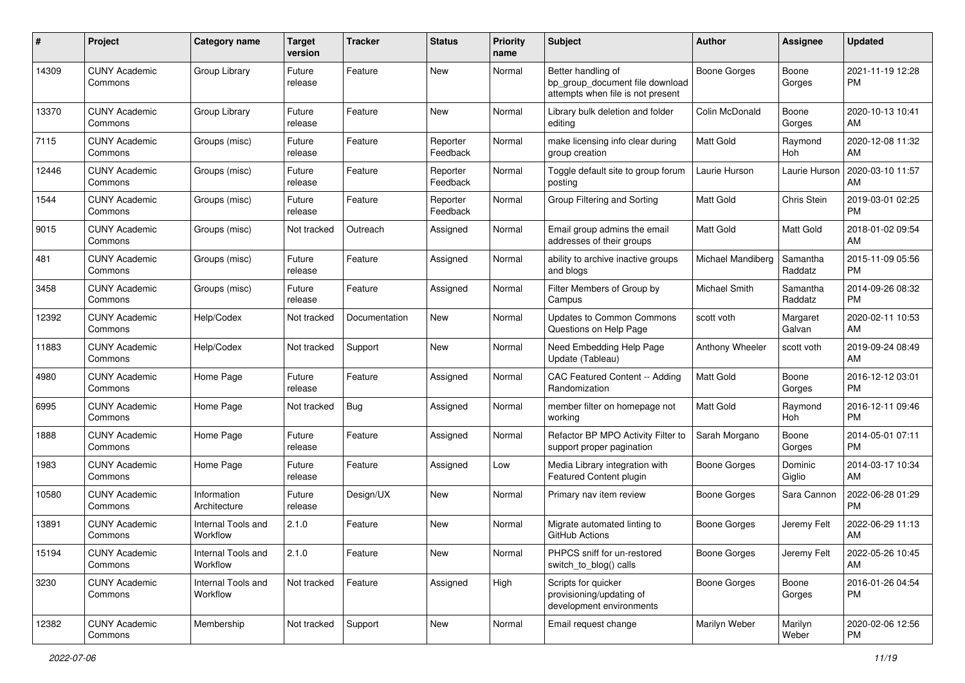| #     | Project                         | <b>Category name</b>           | <b>Target</b><br>version | <b>Tracker</b> | <b>Status</b>        | <b>Priority</b><br>name | <b>Subject</b>                                                                             | Author              | <b>Assignee</b>     | <b>Updated</b>                |
|-------|---------------------------------|--------------------------------|--------------------------|----------------|----------------------|-------------------------|--------------------------------------------------------------------------------------------|---------------------|---------------------|-------------------------------|
| 14309 | <b>CUNY Academic</b><br>Commons | Group Library                  | Future<br>release        | Feature        | New                  | Normal                  | Better handling of<br>bp_group_document file download<br>attempts when file is not present | <b>Boone Gorges</b> | Boone<br>Gorges     | 2021-11-19 12:28<br><b>PM</b> |
| 13370 | <b>CUNY Academic</b><br>Commons | Group Library                  | Future<br>release        | Feature        | <b>New</b>           | Normal                  | Library bulk deletion and folder<br>editing                                                | Colin McDonald      | Boone<br>Gorges     | 2020-10-13 10:41<br>AM        |
| 7115  | <b>CUNY Academic</b><br>Commons | Groups (misc)                  | Future<br>release        | Feature        | Reporter<br>Feedback | Normal                  | make licensing info clear during<br>group creation                                         | <b>Matt Gold</b>    | Raymond<br>Hoh      | 2020-12-08 11:32<br>AM        |
| 12446 | <b>CUNY Academic</b><br>Commons | Groups (misc)                  | Future<br>release        | Feature        | Reporter<br>Feedback | Normal                  | Toggle default site to group forum<br>posting                                              | Laurie Hurson       | Laurie Hurson       | 2020-03-10 11:57<br>AM        |
| 1544  | <b>CUNY Academic</b><br>Commons | Groups (misc)                  | Future<br>release        | Feature        | Reporter<br>Feedback | Normal                  | Group Filtering and Sorting                                                                | <b>Matt Gold</b>    | Chris Stein         | 2019-03-01 02:25<br><b>PM</b> |
| 9015  | <b>CUNY Academic</b><br>Commons | Groups (misc)                  | Not tracked              | Outreach       | Assigned             | Normal                  | Email group admins the email<br>addresses of their groups                                  | <b>Matt Gold</b>    | Matt Gold           | 2018-01-02 09:54<br>AM        |
| 481   | <b>CUNY Academic</b><br>Commons | Groups (misc)                  | Future<br>release        | Feature        | Assigned             | Normal                  | ability to archive inactive groups<br>and blogs                                            | Michael Mandiberg   | Samantha<br>Raddatz | 2015-11-09 05:56<br><b>PM</b> |
| 3458  | <b>CUNY Academic</b><br>Commons | Groups (misc)                  | Future<br>release        | Feature        | Assigned             | Normal                  | Filter Members of Group by<br>Campus                                                       | Michael Smith       | Samantha<br>Raddatz | 2014-09-26 08:32<br><b>PM</b> |
| 12392 | <b>CUNY Academic</b><br>Commons | Help/Codex                     | Not tracked              | Documentation  | New                  | Normal                  | <b>Updates to Common Commons</b><br>Questions on Help Page                                 | scott voth          | Margaret<br>Galvan  | 2020-02-11 10:53<br>AM        |
| 11883 | <b>CUNY Academic</b><br>Commons | Help/Codex                     | Not tracked              | Support        | New                  | Normal                  | Need Embedding Help Page<br>Update (Tableau)                                               | Anthony Wheeler     | scott voth          | 2019-09-24 08:49<br>AM        |
| 4980  | <b>CUNY Academic</b><br>Commons | Home Page                      | Future<br>release        | Feature        | Assigned             | Normal                  | CAC Featured Content -- Adding<br>Randomization                                            | Matt Gold           | Boone<br>Gorges     | 2016-12-12 03:01<br><b>PM</b> |
| 6995  | <b>CUNY Academic</b><br>Commons | Home Page                      | Not tracked              | Bug            | Assigned             | Normal                  | member filter on homepage not<br>working                                                   | <b>Matt Gold</b>    | Raymond<br>Hoh      | 2016-12-11 09:46<br><b>PM</b> |
| 1888  | <b>CUNY Academic</b><br>Commons | Home Page                      | Future<br>release        | Feature        | Assigned             | Normal                  | Refactor BP MPO Activity Filter to<br>support proper pagination                            | Sarah Morgano       | Boone<br>Gorges     | 2014-05-01 07:11<br><b>PM</b> |
| 1983  | <b>CUNY Academic</b><br>Commons | Home Page                      | Future<br>release        | Feature        | Assigned             | Low                     | Media Library integration with<br>Featured Content plugin                                  | <b>Boone Gorges</b> | Dominic<br>Giglio   | 2014-03-17 10:34<br>AM        |
| 10580 | <b>CUNY Academic</b><br>Commons | Information<br>Architecture    | Future<br>release        | Design/UX      | New                  | Normal                  | Primary nav item review                                                                    | Boone Gorges        | Sara Cannon         | 2022-06-28 01:29<br><b>PM</b> |
| 13891 | <b>CUNY Academic</b><br>Commons | Internal Tools and<br>Workflow | 2.1.0                    | Feature        | New                  | Normal                  | Migrate automated linting to<br>GitHub Actions                                             | Boone Gorges        | Jeremy Felt         | 2022-06-29 11:13<br>AM        |
| 15194 | <b>CUNY Academic</b><br>Commons | Internal Tools and<br>Workflow | 2.1.0                    | Feature        | New                  | Normal                  | PHPCS sniff for un-restored<br>switch_to_blog() calls                                      | <b>Boone Gorges</b> | Jeremy Felt         | 2022-05-26 10:45<br>AM        |
| 3230  | <b>CUNY Academic</b><br>Commons | Internal Tools and<br>Workflow | Not tracked              | Feature        | Assigned             | High                    | Scripts for quicker<br>provisioning/updating of<br>development environments                | Boone Gorges        | Boone<br>Gorges     | 2016-01-26 04:54<br><b>PM</b> |
| 12382 | <b>CUNY Academic</b><br>Commons | Membership                     | Not tracked              | Support        | New                  | Normal                  | Email request change                                                                       | Marilyn Weber       | Marilyn<br>Weber    | 2020-02-06 12:56<br><b>PM</b> |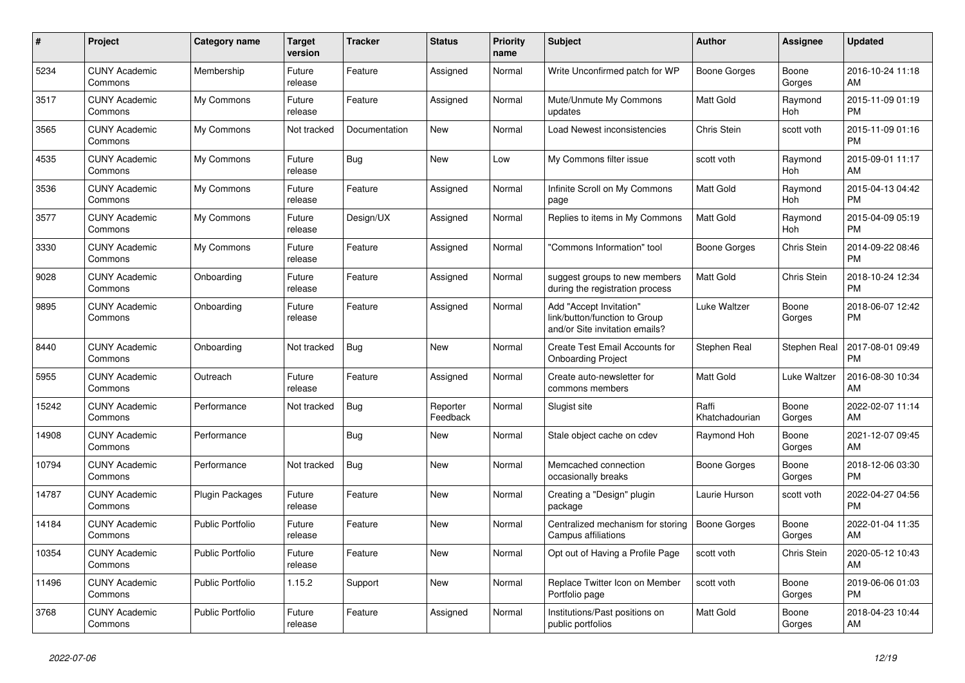| $\#$  | Project                         | <b>Category name</b>    | <b>Target</b><br>version | <b>Tracker</b> | <b>Status</b>        | <b>Priority</b><br>name | <b>Subject</b>                                                                             | <b>Author</b>           | <b>Assignee</b>    | <b>Updated</b>                |
|-------|---------------------------------|-------------------------|--------------------------|----------------|----------------------|-------------------------|--------------------------------------------------------------------------------------------|-------------------------|--------------------|-------------------------------|
| 5234  | <b>CUNY Academic</b><br>Commons | Membership              | Future<br>release        | Feature        | Assigned             | Normal                  | Write Unconfirmed patch for WP                                                             | Boone Gorges            | Boone<br>Gorges    | 2016-10-24 11:18<br>AM        |
| 3517  | <b>CUNY Academic</b><br>Commons | My Commons              | Future<br>release        | Feature        | Assigned             | Normal                  | Mute/Unmute My Commons<br>updates                                                          | Matt Gold               | Raymond<br>Hoh     | 2015-11-09 01:19<br><b>PM</b> |
| 3565  | <b>CUNY Academic</b><br>Commons | My Commons              | Not tracked              | Documentation  | <b>New</b>           | Normal                  | Load Newest inconsistencies                                                                | Chris Stein             | scott voth         | 2015-11-09 01:16<br><b>PM</b> |
| 4535  | <b>CUNY Academic</b><br>Commons | My Commons              | Future<br>release        | Bug            | <b>New</b>           | Low                     | My Commons filter issue                                                                    | scott voth              | Raymond<br>Hoh     | 2015-09-01 11:17<br>AM        |
| 3536  | <b>CUNY Academic</b><br>Commons | My Commons              | Future<br>release        | Feature        | Assigned             | Normal                  | Infinite Scroll on My Commons<br>page                                                      | Matt Gold               | Raymond<br>Hoh     | 2015-04-13 04:42<br><b>PM</b> |
| 3577  | <b>CUNY Academic</b><br>Commons | My Commons              | Future<br>release        | Design/UX      | Assigned             | Normal                  | Replies to items in My Commons                                                             | <b>Matt Gold</b>        | Raymond<br>Hoh     | 2015-04-09 05:19<br><b>PM</b> |
| 3330  | <b>CUNY Academic</b><br>Commons | My Commons              | Future<br>release        | Feature        | Assigned             | Normal                  | "Commons Information" tool                                                                 | Boone Gorges            | Chris Stein        | 2014-09-22 08:46<br><b>PM</b> |
| 9028  | <b>CUNY Academic</b><br>Commons | Onboarding              | Future<br>release        | Feature        | Assigned             | Normal                  | suggest groups to new members<br>during the registration process                           | <b>Matt Gold</b>        | <b>Chris Stein</b> | 2018-10-24 12:34<br><b>PM</b> |
| 9895  | <b>CUNY Academic</b><br>Commons | Onboarding              | Future<br>release        | Feature        | Assigned             | Normal                  | Add "Accept Invitation"<br>link/button/function to Group<br>and/or Site invitation emails? | Luke Waltzer            | Boone<br>Gorges    | 2018-06-07 12:42<br><b>PM</b> |
| 8440  | <b>CUNY Academic</b><br>Commons | Onboarding              | Not tracked              | <b>Bug</b>     | <b>New</b>           | Normal                  | Create Test Email Accounts for<br><b>Onboarding Project</b>                                | Stephen Real            | Stephen Real       | 2017-08-01 09:49<br><b>PM</b> |
| 5955  | <b>CUNY Academic</b><br>Commons | Outreach                | Future<br>release        | Feature        | Assigned             | Normal                  | Create auto-newsletter for<br>commons members                                              | Matt Gold               | Luke Waltzer       | 2016-08-30 10:34<br>AM        |
| 15242 | <b>CUNY Academic</b><br>Commons | Performance             | Not tracked              | <b>Bug</b>     | Reporter<br>Feedback | Normal                  | Slugist site                                                                               | Raffi<br>Khatchadourian | Boone<br>Gorges    | 2022-02-07 11:14<br>AM        |
| 14908 | <b>CUNY Academic</b><br>Commons | Performance             |                          | <b>Bug</b>     | <b>New</b>           | Normal                  | Stale object cache on cdev                                                                 | Raymond Hoh             | Boone<br>Gorges    | 2021-12-07 09:45<br>AM        |
| 10794 | <b>CUNY Academic</b><br>Commons | Performance             | Not tracked              | <b>Bug</b>     | <b>New</b>           | Normal                  | Memcached connection<br>occasionally breaks                                                | Boone Gorges            | Boone<br>Gorges    | 2018-12-06 03:30<br><b>PM</b> |
| 14787 | <b>CUNY Academic</b><br>Commons | Plugin Packages         | Future<br>release        | Feature        | New                  | Normal                  | Creating a "Design" plugin<br>package                                                      | Laurie Hurson           | scott voth         | 2022-04-27 04:56<br><b>PM</b> |
| 14184 | <b>CUNY Academic</b><br>Commons | Public Portfolio        | Future<br>release        | Feature        | New                  | Normal                  | Centralized mechanism for storing<br>Campus affiliations                                   | <b>Boone Gorges</b>     | Boone<br>Gorges    | 2022-01-04 11:35<br>AM        |
| 10354 | <b>CUNY Academic</b><br>Commons | <b>Public Portfolio</b> | Future<br>release        | Feature        | <b>New</b>           | Normal                  | Opt out of Having a Profile Page                                                           | scott voth              | <b>Chris Stein</b> | 2020-05-12 10:43<br>AM        |
| 11496 | <b>CUNY Academic</b><br>Commons | <b>Public Portfolio</b> | 1.15.2                   | Support        | New                  | Normal                  | Replace Twitter Icon on Member<br>Portfolio page                                           | scott voth              | Boone<br>Gorges    | 2019-06-06 01:03<br><b>PM</b> |
| 3768  | <b>CUNY Academic</b><br>Commons | <b>Public Portfolio</b> | Future<br>release        | Feature        | Assigned             | Normal                  | Institutions/Past positions on<br>public portfolios                                        | <b>Matt Gold</b>        | Boone<br>Gorges    | 2018-04-23 10:44<br>AM        |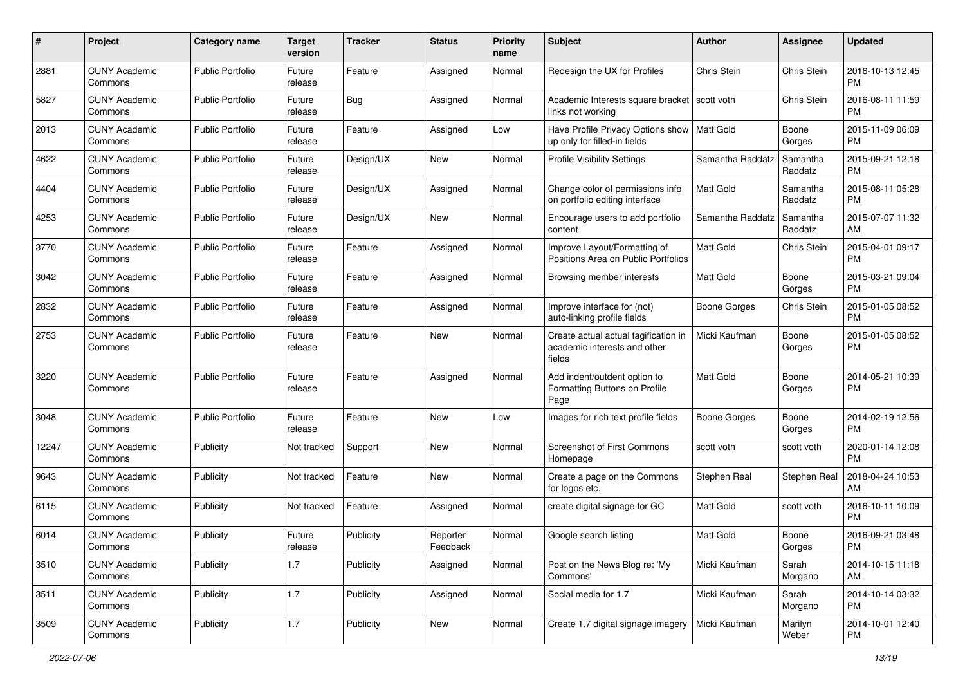| #     | Project                         | <b>Category name</b>    | <b>Target</b><br>version | <b>Tracker</b> | <b>Status</b>        | Priority<br>name | <b>Subject</b>                                                                 | Author              | <b>Assignee</b>     | <b>Updated</b>                |
|-------|---------------------------------|-------------------------|--------------------------|----------------|----------------------|------------------|--------------------------------------------------------------------------------|---------------------|---------------------|-------------------------------|
| 2881  | <b>CUNY Academic</b><br>Commons | <b>Public Portfolio</b> | Future<br>release        | Feature        | Assigned             | Normal           | Redesign the UX for Profiles                                                   | Chris Stein         | Chris Stein         | 2016-10-13 12:45<br><b>PM</b> |
| 5827  | <b>CUNY Academic</b><br>Commons | <b>Public Portfolio</b> | Future<br>release        | Bug            | Assigned             | Normal           | Academic Interests square bracket<br>links not working                         | scott voth          | Chris Stein         | 2016-08-11 11:59<br><b>PM</b> |
| 2013  | CUNY Academic<br>Commons        | <b>Public Portfolio</b> | Future<br>release        | Feature        | Assigned             | Low              | Have Profile Privacy Options show<br>up only for filled-in fields              | <b>Matt Gold</b>    | Boone<br>Gorges     | 2015-11-09 06:09<br><b>PM</b> |
| 4622  | <b>CUNY Academic</b><br>Commons | <b>Public Portfolio</b> | Future<br>release        | Design/UX      | New                  | Normal           | <b>Profile Visibility Settings</b>                                             | Samantha Raddatz    | Samantha<br>Raddatz | 2015-09-21 12:18<br><b>PM</b> |
| 4404  | <b>CUNY Academic</b><br>Commons | <b>Public Portfolio</b> | Future<br>release        | Design/UX      | Assigned             | Normal           | Change color of permissions info<br>on portfolio editing interface             | Matt Gold           | Samantha<br>Raddatz | 2015-08-11 05:28<br><b>PM</b> |
| 4253  | <b>CUNY Academic</b><br>Commons | <b>Public Portfolio</b> | Future<br>release        | Design/UX      | New                  | Normal           | Encourage users to add portfolio<br>content                                    | Samantha Raddatz    | Samantha<br>Raddatz | 2015-07-07 11:32<br>AM        |
| 3770  | <b>CUNY Academic</b><br>Commons | <b>Public Portfolio</b> | Future<br>release        | Feature        | Assigned             | Normal           | Improve Layout/Formatting of<br>Positions Area on Public Portfolios            | <b>Matt Gold</b>    | Chris Stein         | 2015-04-01 09:17<br><b>PM</b> |
| 3042  | <b>CUNY Academic</b><br>Commons | <b>Public Portfolio</b> | Future<br>release        | Feature        | Assigned             | Normal           | Browsing member interests                                                      | <b>Matt Gold</b>    | Boone<br>Gorges     | 2015-03-21 09:04<br><b>PM</b> |
| 2832  | <b>CUNY Academic</b><br>Commons | <b>Public Portfolio</b> | Future<br>release        | Feature        | Assigned             | Normal           | Improve interface for (not)<br>auto-linking profile fields                     | <b>Boone Gorges</b> | <b>Chris Stein</b>  | 2015-01-05 08:52<br><b>PM</b> |
| 2753  | <b>CUNY Academic</b><br>Commons | Public Portfolio        | Future<br>release        | Feature        | New                  | Normal           | Create actual actual tagification in<br>academic interests and other<br>fields | Micki Kaufman       | Boone<br>Gorges     | 2015-01-05 08:52<br><b>PM</b> |
| 3220  | <b>CUNY Academic</b><br>Commons | <b>Public Portfolio</b> | Future<br>release        | Feature        | Assigned             | Normal           | Add indent/outdent option to<br>Formatting Buttons on Profile<br>Page          | Matt Gold           | Boone<br>Gorges     | 2014-05-21 10:39<br><b>PM</b> |
| 3048  | <b>CUNY Academic</b><br>Commons | <b>Public Portfolio</b> | Future<br>release        | Feature        | New                  | Low              | Images for rich text profile fields                                            | Boone Gorges        | Boone<br>Gorges     | 2014-02-19 12:56<br><b>PM</b> |
| 12247 | <b>CUNY Academic</b><br>Commons | Publicity               | Not tracked              | Support        | <b>New</b>           | Normal           | Screenshot of First Commons<br>Homepage                                        | scott voth          | scott voth          | 2020-01-14 12:08<br><b>PM</b> |
| 9643  | <b>CUNY Academic</b><br>Commons | Publicity               | Not tracked              | Feature        | <b>New</b>           | Normal           | Create a page on the Commons<br>for logos etc.                                 | Stephen Real        | Stephen Real        | 2018-04-24 10:53<br>AM        |
| 6115  | <b>CUNY Academic</b><br>Commons | Publicity               | Not tracked              | Feature        | Assigned             | Normal           | create digital signage for GC                                                  | <b>Matt Gold</b>    | scott voth          | 2016-10-11 10:09<br><b>PM</b> |
| 6014  | <b>CUNY Academic</b><br>Commons | Publicity               | Future<br>reiease        | Publicity      | Reporter<br>Feedback | Normal           | Google search listing                                                          | Matt Gold           | Boone<br>Gorges     | 2016-09-21 03:48<br>PM        |
| 3510  | <b>CUNY Academic</b><br>Commons | Publicity               | 1.7                      | Publicity      | Assigned             | Normal           | Post on the News Blog re: 'My<br>Commons'                                      | Micki Kaufman       | Sarah<br>Morgano    | 2014-10-15 11:18<br>AM        |
| 3511  | <b>CUNY Academic</b><br>Commons | Publicity               | 1.7                      | Publicity      | Assigned             | Normal           | Social media for 1.7                                                           | Micki Kaufman       | Sarah<br>Morgano    | 2014-10-14 03:32<br><b>PM</b> |
| 3509  | <b>CUNY Academic</b><br>Commons | Publicity               | 1.7                      | Publicity      | New                  | Normal           | Create 1.7 digital signage imagery                                             | Micki Kaufman       | Marilyn<br>Weber    | 2014-10-01 12:40<br><b>PM</b> |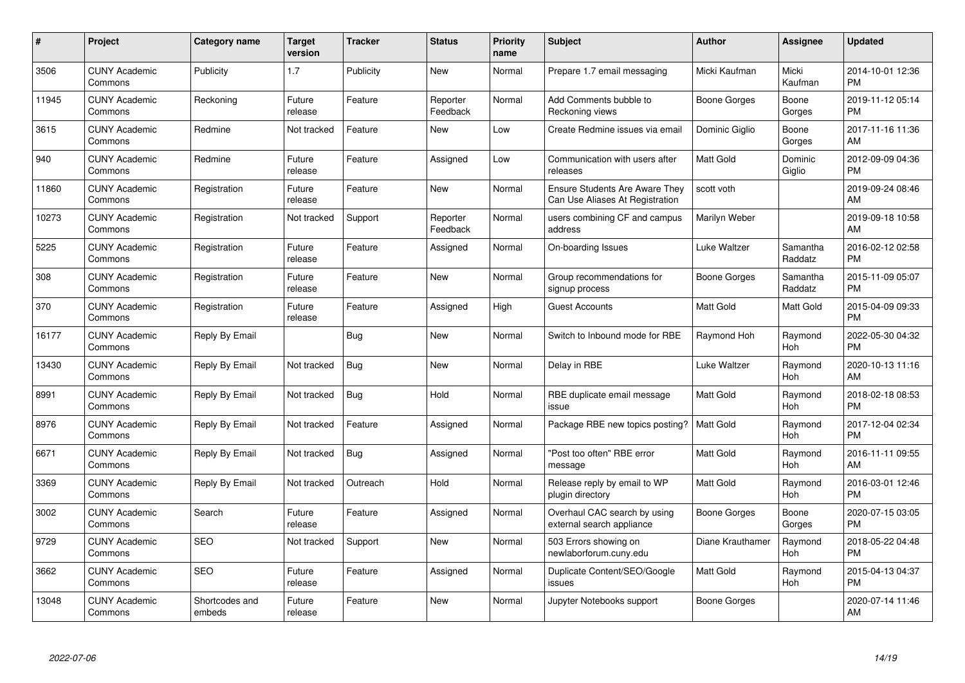| $\#$  | Project                         | <b>Category name</b>     | <b>Target</b><br>version | <b>Tracker</b> | <b>Status</b>        | <b>Priority</b><br>name | <b>Subject</b>                                                           | <b>Author</b>       | Assignee            | <b>Updated</b>                |
|-------|---------------------------------|--------------------------|--------------------------|----------------|----------------------|-------------------------|--------------------------------------------------------------------------|---------------------|---------------------|-------------------------------|
| 3506  | <b>CUNY Academic</b><br>Commons | Publicity                | 1.7                      | Publicity      | <b>New</b>           | Normal                  | Prepare 1.7 email messaging                                              | Micki Kaufman       | Micki<br>Kaufman    | 2014-10-01 12:36<br><b>PM</b> |
| 11945 | <b>CUNY Academic</b><br>Commons | Reckoning                | Future<br>release        | Feature        | Reporter<br>Feedback | Normal                  | Add Comments bubble to<br>Reckoning views                                | Boone Gorges        | Boone<br>Gorges     | 2019-11-12 05:14<br><b>PM</b> |
| 3615  | <b>CUNY Academic</b><br>Commons | Redmine                  | Not tracked              | Feature        | New                  | Low                     | Create Redmine issues via email                                          | Dominic Giglio      | Boone<br>Gorges     | 2017-11-16 11:36<br>AM        |
| 940   | <b>CUNY Academic</b><br>Commons | Redmine                  | Future<br>release        | Feature        | Assigned             | Low                     | Communication with users after<br>releases                               | Matt Gold           | Dominic<br>Giglio   | 2012-09-09 04:36<br><b>PM</b> |
| 11860 | <b>CUNY Academic</b><br>Commons | Registration             | Future<br>release        | Feature        | <b>New</b>           | Normal                  | <b>Ensure Students Are Aware They</b><br>Can Use Aliases At Registration | scott voth          |                     | 2019-09-24 08:46<br>AM        |
| 10273 | <b>CUNY Academic</b><br>Commons | Registration             | Not tracked              | Support        | Reporter<br>Feedback | Normal                  | users combining CF and campus<br>address                                 | Marilyn Weber       |                     | 2019-09-18 10:58<br>AM        |
| 5225  | <b>CUNY Academic</b><br>Commons | Registration             | Future<br>release        | Feature        | Assigned             | Normal                  | On-boarding Issues                                                       | <b>Luke Waltzer</b> | Samantha<br>Raddatz | 2016-02-12 02:58<br><b>PM</b> |
| 308   | <b>CUNY Academic</b><br>Commons | Registration             | Future<br>release        | Feature        | <b>New</b>           | Normal                  | Group recommendations for<br>signup process                              | Boone Gorges        | Samantha<br>Raddatz | 2015-11-09 05:07<br><b>PM</b> |
| 370   | <b>CUNY Academic</b><br>Commons | Registration             | Future<br>release        | Feature        | Assigned             | High                    | <b>Guest Accounts</b>                                                    | <b>Matt Gold</b>    | Matt Gold           | 2015-04-09 09:33<br><b>PM</b> |
| 16177 | <b>CUNY Academic</b><br>Commons | Reply By Email           |                          | <b>Bug</b>     | New                  | Normal                  | Switch to Inbound mode for RBE                                           | Raymond Hoh         | Raymond<br>Hoh      | 2022-05-30 04:32<br><b>PM</b> |
| 13430 | <b>CUNY Academic</b><br>Commons | Reply By Email           | Not tracked              | Bug            | New                  | Normal                  | Delay in RBE                                                             | Luke Waltzer        | Raymond<br>Hoh      | 2020-10-13 11:16<br>AM        |
| 8991  | <b>CUNY Academic</b><br>Commons | Reply By Email           | Not tracked              | <b>Bug</b>     | Hold                 | Normal                  | RBE duplicate email message<br>issue                                     | Matt Gold           | Raymond<br>Hoh      | 2018-02-18 08:53<br><b>PM</b> |
| 8976  | <b>CUNY Academic</b><br>Commons | Reply By Email           | Not tracked              | Feature        | Assigned             | Normal                  | Package RBE new topics posting?                                          | <b>Matt Gold</b>    | Raymond<br>Hoh      | 2017-12-04 02:34<br><b>PM</b> |
| 6671  | <b>CUNY Academic</b><br>Commons | Reply By Email           | Not tracked              | Bug            | Assigned             | Normal                  | "Post too often" RBE error<br>message                                    | Matt Gold           | Raymond<br>Hoh      | 2016-11-11 09:55<br>AM        |
| 3369  | <b>CUNY Academic</b><br>Commons | Reply By Email           | Not tracked              | Outreach       | Hold                 | Normal                  | Release reply by email to WP<br>plugin directory                         | Matt Gold           | Raymond<br>Hoh      | 2016-03-01 12:46<br><b>PM</b> |
| 3002  | <b>CUNY Academic</b><br>Commons | Search                   | Future<br>release        | Feature        | Assigned             | Normal                  | Overhaul CAC search by using<br>external search appliance                | Boone Gorges        | Boone<br>Gorges     | 2020-07-15 03:05<br><b>PM</b> |
| 9729  | <b>CUNY Academic</b><br>Commons | <b>SEO</b>               | Not tracked              | Support        | New                  | Normal                  | 503 Errors showing on<br>newlaborforum.cuny.edu                          | Diane Krauthamer    | Raymond<br>Hoh      | 2018-05-22 04:48<br><b>PM</b> |
| 3662  | <b>CUNY Academic</b><br>Commons | SEO                      | Future<br>release        | Feature        | Assigned             | Normal                  | Duplicate Content/SEO/Google<br>issues                                   | Matt Gold           | Raymond<br>Hoh      | 2015-04-13 04:37<br><b>PM</b> |
| 13048 | <b>CUNY Academic</b><br>Commons | Shortcodes and<br>embeds | Future<br>release        | Feature        | <b>New</b>           | Normal                  | Jupyter Notebooks support                                                | Boone Gorges        |                     | 2020-07-14 11:46<br>AM        |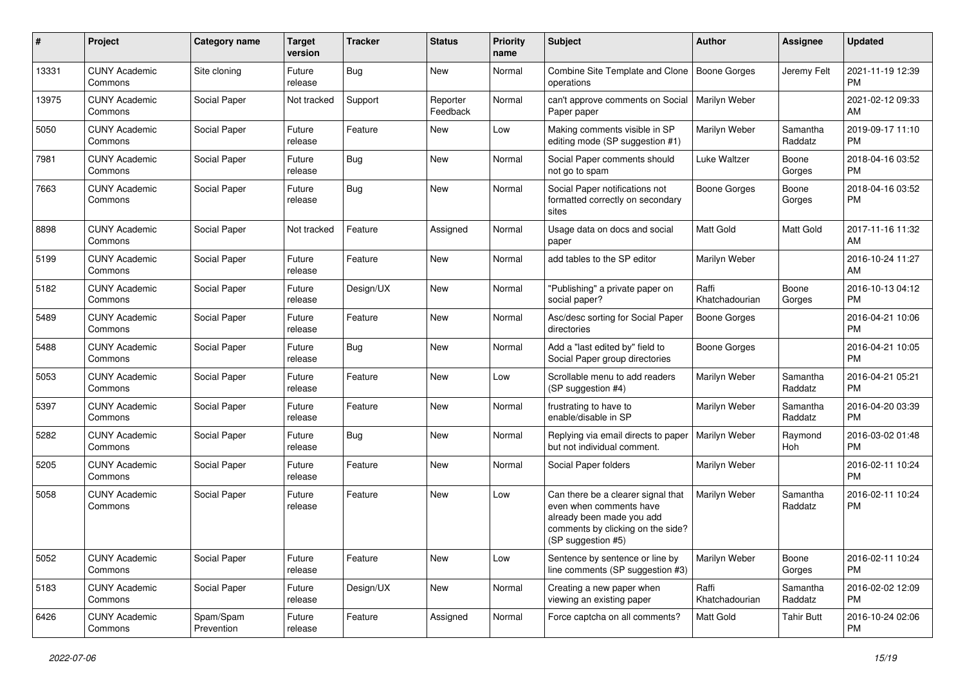| #     | Project                         | <b>Category name</b>    | <b>Target</b><br>version | <b>Tracker</b> | <b>Status</b>        | <b>Priority</b><br>name | Subject                                                                                                                                               | <b>Author</b>           | <b>Assignee</b>     | <b>Updated</b>                |
|-------|---------------------------------|-------------------------|--------------------------|----------------|----------------------|-------------------------|-------------------------------------------------------------------------------------------------------------------------------------------------------|-------------------------|---------------------|-------------------------------|
| 13331 | <b>CUNY Academic</b><br>Commons | Site cloning            | Future<br>release        | <b>Bug</b>     | New                  | Normal                  | Combine Site Template and Clone<br>operations                                                                                                         | Boone Gorges            | Jeremy Felt         | 2021-11-19 12:39<br><b>PM</b> |
| 13975 | <b>CUNY Academic</b><br>Commons | Social Paper            | Not tracked              | Support        | Reporter<br>Feedback | Normal                  | can't approve comments on Social<br>Paper paper                                                                                                       | Marilyn Weber           |                     | 2021-02-12 09:33<br>AM        |
| 5050  | <b>CUNY Academic</b><br>Commons | Social Paper            | Future<br>release        | Feature        | New                  | Low                     | Making comments visible in SP<br>editing mode (SP suggestion #1)                                                                                      | Marilyn Weber           | Samantha<br>Raddatz | 2019-09-17 11:10<br><b>PM</b> |
| 7981  | <b>CUNY Academic</b><br>Commons | Social Paper            | Future<br>release        | <b>Bug</b>     | New                  | Normal                  | Social Paper comments should<br>not go to spam                                                                                                        | Luke Waltzer            | Boone<br>Gorges     | 2018-04-16 03:52<br><b>PM</b> |
| 7663  | <b>CUNY Academic</b><br>Commons | Social Paper            | Future<br>release        | Bug            | New                  | Normal                  | Social Paper notifications not<br>formatted correctly on secondary<br>sites                                                                           | Boone Gorges            | Boone<br>Gorges     | 2018-04-16 03:52<br><b>PM</b> |
| 8898  | <b>CUNY Academic</b><br>Commons | Social Paper            | Not tracked              | Feature        | Assigned             | Normal                  | Usage data on docs and social<br>paper                                                                                                                | <b>Matt Gold</b>        | <b>Matt Gold</b>    | 2017-11-16 11:32<br>AM        |
| 5199  | <b>CUNY Academic</b><br>Commons | Social Paper            | Future<br>release        | Feature        | New                  | Normal                  | add tables to the SP editor                                                                                                                           | Marilyn Weber           |                     | 2016-10-24 11:27<br>AM        |
| 5182  | <b>CUNY Academic</b><br>Commons | Social Paper            | Future<br>release        | Design/UX      | New                  | Normal                  | "Publishing" a private paper on<br>social paper?                                                                                                      | Raffi<br>Khatchadourian | Boone<br>Gorges     | 2016-10-13 04:12<br><b>PM</b> |
| 5489  | <b>CUNY Academic</b><br>Commons | Social Paper            | Future<br>release        | Feature        | New                  | Normal                  | Asc/desc sorting for Social Paper<br>directories                                                                                                      | Boone Gorges            |                     | 2016-04-21 10:06<br><b>PM</b> |
| 5488  | <b>CUNY Academic</b><br>Commons | Social Paper            | Future<br>release        | Bug            | New                  | Normal                  | Add a "last edited by" field to<br>Social Paper group directories                                                                                     | Boone Gorges            |                     | 2016-04-21 10:05<br><b>PM</b> |
| 5053  | <b>CUNY Academic</b><br>Commons | Social Paper            | Future<br>release        | Feature        | New                  | Low                     | Scrollable menu to add readers<br>(SP suggestion #4)                                                                                                  | Marilyn Weber           | Samantha<br>Raddatz | 2016-04-21 05:21<br><b>PM</b> |
| 5397  | <b>CUNY Academic</b><br>Commons | Social Paper            | Future<br>release        | Feature        | New                  | Normal                  | frustrating to have to<br>enable/disable in SP                                                                                                        | Marilyn Weber           | Samantha<br>Raddatz | 2016-04-20 03:39<br><b>PM</b> |
| 5282  | <b>CUNY Academic</b><br>Commons | Social Paper            | Future<br>release        | <b>Bug</b>     | New                  | Normal                  | Replying via email directs to paper<br>but not individual comment.                                                                                    | Marilyn Weber           | Raymond<br>Hoh      | 2016-03-02 01:48<br><b>PM</b> |
| 5205  | <b>CUNY Academic</b><br>Commons | Social Paper            | Future<br>release        | Feature        | New                  | Normal                  | Social Paper folders                                                                                                                                  | Marilyn Weber           |                     | 2016-02-11 10:24<br><b>PM</b> |
| 5058  | <b>CUNY Academic</b><br>Commons | Social Paper            | Future<br>release        | Feature        | <b>New</b>           | Low                     | Can there be a clearer signal that<br>even when comments have<br>already been made you add<br>comments by clicking on the side?<br>(SP suggestion #5) | Marilyn Weber           | Samantha<br>Raddatz | 2016-02-11 10:24<br>PM        |
| 5052  | <b>CUNY Academic</b><br>Commons | Social Paper            | Future<br>release        | Feature        | New                  | Low                     | Sentence by sentence or line by<br>line comments (SP suggestion #3)                                                                                   | Marilyn Weber           | Boone<br>Gorges     | 2016-02-11 10:24<br><b>PM</b> |
| 5183  | <b>CUNY Academic</b><br>Commons | Social Paper            | Future<br>release        | Design/UX      | New                  | Normal                  | Creating a new paper when<br>viewing an existing paper                                                                                                | Raffi<br>Khatchadourian | Samantha<br>Raddatz | 2016-02-02 12:09<br><b>PM</b> |
| 6426  | <b>CUNY Academic</b><br>Commons | Spam/Spam<br>Prevention | Future<br>release        | Feature        | Assigned             | Normal                  | Force captcha on all comments?                                                                                                                        | Matt Gold               | <b>Tahir Butt</b>   | 2016-10-24 02:06<br>PM        |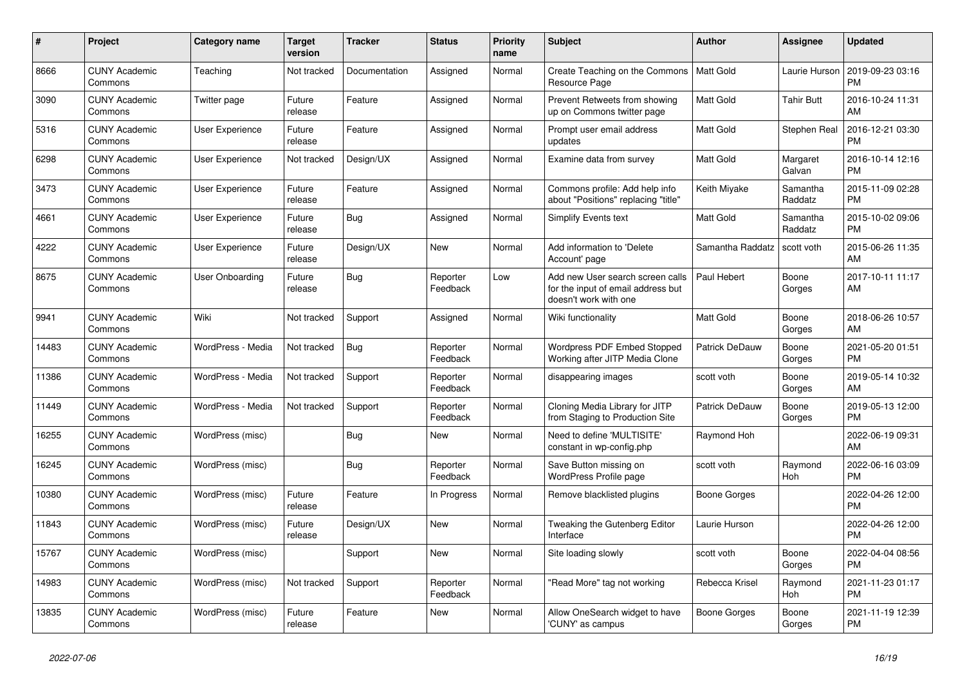| #     | Project                         | <b>Category name</b>   | <b>Target</b><br>version | <b>Tracker</b> | <b>Status</b>        | <b>Priority</b><br>name | <b>Subject</b>                                                                                  | <b>Author</b>         | Assignee            | <b>Updated</b>                |
|-------|---------------------------------|------------------------|--------------------------|----------------|----------------------|-------------------------|-------------------------------------------------------------------------------------------------|-----------------------|---------------------|-------------------------------|
| 8666  | <b>CUNY Academic</b><br>Commons | Teaching               | Not tracked              | Documentation  | Assigned             | Normal                  | Create Teaching on the Commons<br>Resource Page                                                 | <b>Matt Gold</b>      | Laurie Hurson       | 2019-09-23 03:16<br><b>PM</b> |
| 3090  | <b>CUNY Academic</b><br>Commons | Twitter page           | Future<br>release        | Feature        | Assigned             | Normal                  | Prevent Retweets from showing<br>up on Commons twitter page                                     | <b>Matt Gold</b>      | Tahir Butt          | 2016-10-24 11:31<br>AM        |
| 5316  | <b>CUNY Academic</b><br>Commons | User Experience        | Future<br>release        | Feature        | Assigned             | Normal                  | Prompt user email address<br>updates                                                            | <b>Matt Gold</b>      | Stephen Real        | 2016-12-21 03:30<br><b>PM</b> |
| 6298  | <b>CUNY Academic</b><br>Commons | <b>User Experience</b> | Not tracked              | Design/UX      | Assigned             | Normal                  | Examine data from survey                                                                        | <b>Matt Gold</b>      | Margaret<br>Galvan  | 2016-10-14 12:16<br><b>PM</b> |
| 3473  | <b>CUNY Academic</b><br>Commons | <b>User Experience</b> | Future<br>release        | Feature        | Assigned             | Normal                  | Commons profile: Add help info<br>about "Positions" replacing "title"                           | Keith Miyake          | Samantha<br>Raddatz | 2015-11-09 02:28<br><b>PM</b> |
| 4661  | <b>CUNY Academic</b><br>Commons | User Experience        | Future<br>release        | <b>Bug</b>     | Assigned             | Normal                  | <b>Simplify Events text</b>                                                                     | Matt Gold             | Samantha<br>Raddatz | 2015-10-02 09:06<br><b>PM</b> |
| 4222  | <b>CUNY Academic</b><br>Commons | <b>User Experience</b> | Future<br>release        | Design/UX      | <b>New</b>           | Normal                  | Add information to 'Delete<br>Account' page                                                     | Samantha Raddatz      | scott voth          | 2015-06-26 11:35<br>AM        |
| 8675  | <b>CUNY Academic</b><br>Commons | User Onboarding        | Future<br>release        | Bug            | Reporter<br>Feedback | Low                     | Add new User search screen calls<br>for the input of email address but<br>doesn't work with one | Paul Hebert           | Boone<br>Gorges     | 2017-10-11 11:17<br>AM        |
| 9941  | <b>CUNY Academic</b><br>Commons | Wiki                   | Not tracked              | Support        | Assigned             | Normal                  | Wiki functionality                                                                              | <b>Matt Gold</b>      | Boone<br>Gorges     | 2018-06-26 10:57<br>AM        |
| 14483 | <b>CUNY Academic</b><br>Commons | WordPress - Media      | Not tracked              | Bug            | Reporter<br>Feedback | Normal                  | Wordpress PDF Embed Stopped<br>Working after JITP Media Clone                                   | Patrick DeDauw        | Boone<br>Gorges     | 2021-05-20 01:51<br><b>PM</b> |
| 11386 | <b>CUNY Academic</b><br>Commons | WordPress - Media      | Not tracked              | Support        | Reporter<br>Feedback | Normal                  | disappearing images                                                                             | scott voth            | Boone<br>Gorges     | 2019-05-14 10:32<br>AM        |
| 11449 | <b>CUNY Academic</b><br>Commons | WordPress - Media      | Not tracked              | Support        | Reporter<br>Feedback | Normal                  | Cloning Media Library for JITP<br>from Staging to Production Site                               | <b>Patrick DeDauw</b> | Boone<br>Gorges     | 2019-05-13 12:00<br><b>PM</b> |
| 16255 | <b>CUNY Academic</b><br>Commons | WordPress (misc)       |                          | <b>Bug</b>     | <b>New</b>           | Normal                  | Need to define 'MULTISITE'<br>constant in wp-config.php                                         | Raymond Hoh           |                     | 2022-06-19 09:31<br>AM        |
| 16245 | <b>CUNY Academic</b><br>Commons | WordPress (misc)       |                          | <b>Bug</b>     | Reporter<br>Feedback | Normal                  | Save Button missing on<br>WordPress Profile page                                                | scott voth            | Raymond<br>Hoh      | 2022-06-16 03:09<br><b>PM</b> |
| 10380 | <b>CUNY Academic</b><br>Commons | WordPress (misc)       | Future<br>release        | Feature        | In Progress          | Normal                  | Remove blacklisted plugins                                                                      | Boone Gorges          |                     | 2022-04-26 12:00<br><b>PM</b> |
| 11843 | <b>CUNY Academic</b><br>Commons | WordPress (misc)       | Future<br>release        | Design/UX      | <b>New</b>           | Normal                  | Tweaking the Gutenberg Editor<br>Interface                                                      | Laurie Hurson         |                     | 2022-04-26 12:00<br><b>PM</b> |
| 15767 | <b>CUNY Academic</b><br>Commons | WordPress (misc)       |                          | Support        | <b>New</b>           | Normal                  | Site loading slowly                                                                             | scott voth            | Boone<br>Gorges     | 2022-04-04 08:56<br><b>PM</b> |
| 14983 | <b>CUNY Academic</b><br>Commons | WordPress (misc)       | Not tracked              | Support        | Reporter<br>Feedback | Normal                  | "Read More" tag not working                                                                     | Rebecca Krisel        | Raymond<br>Hoh      | 2021-11-23 01:17<br><b>PM</b> |
| 13835 | <b>CUNY Academic</b><br>Commons | WordPress (misc)       | Future<br>release        | Feature        | <b>New</b>           | Normal                  | Allow OneSearch widget to have<br>'CUNY' as campus                                              | Boone Gorges          | Boone<br>Gorges     | 2021-11-19 12:39<br><b>PM</b> |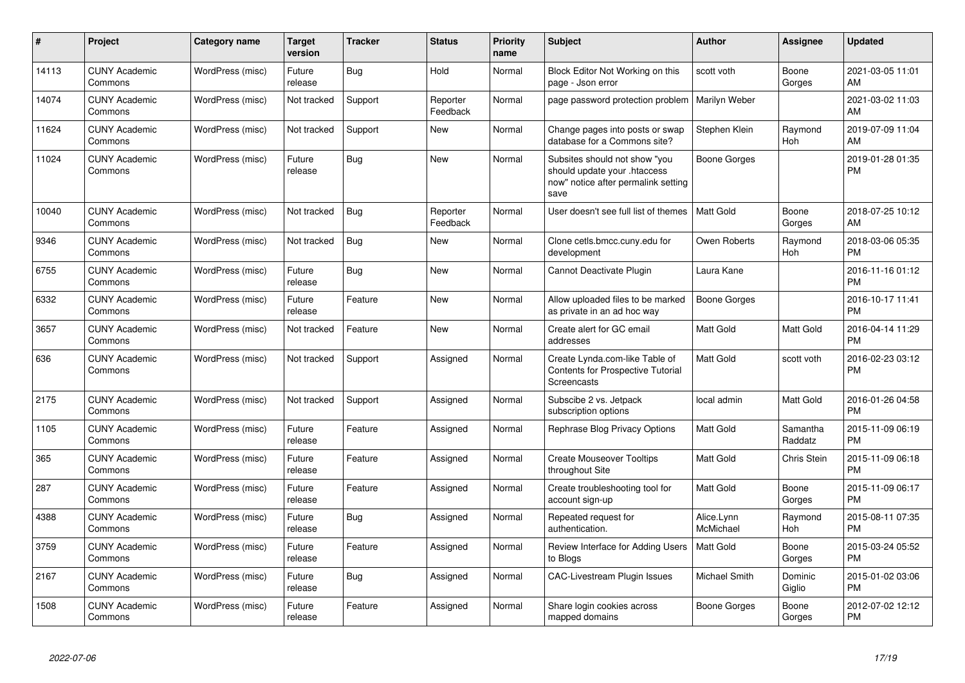| $\#$  | Project                         | <b>Category name</b> | <b>Target</b><br>version | <b>Tracker</b> | <b>Status</b>        | <b>Priority</b><br>name | <b>Subject</b>                                                                                               | Author                  | <b>Assignee</b>       | <b>Updated</b>                |
|-------|---------------------------------|----------------------|--------------------------|----------------|----------------------|-------------------------|--------------------------------------------------------------------------------------------------------------|-------------------------|-----------------------|-------------------------------|
| 14113 | <b>CUNY Academic</b><br>Commons | WordPress (misc)     | Future<br>release        | Bug            | Hold                 | Normal                  | Block Editor Not Working on this<br>page - Json error                                                        | scott voth              | Boone<br>Gorges       | 2021-03-05 11:01<br>AM        |
| 14074 | <b>CUNY Academic</b><br>Commons | WordPress (misc)     | Not tracked              | Support        | Reporter<br>Feedback | Normal                  | page password protection problem                                                                             | <b>Marilyn Weber</b>    |                       | 2021-03-02 11:03<br>AM        |
| 11624 | <b>CUNY Academic</b><br>Commons | WordPress (misc)     | Not tracked              | Support        | New                  | Normal                  | Change pages into posts or swap<br>database for a Commons site?                                              | Stephen Klein           | Raymond<br>Hoh        | 2019-07-09 11:04<br>AM        |
| 11024 | <b>CUNY Academic</b><br>Commons | WordPress (misc)     | Future<br>release        | <b>Bug</b>     | New                  | Normal                  | Subsites should not show "you<br>should update your .htaccess<br>now" notice after permalink setting<br>save | <b>Boone Gorges</b>     |                       | 2019-01-28 01:35<br><b>PM</b> |
| 10040 | <b>CUNY Academic</b><br>Commons | WordPress (misc)     | Not tracked              | Bug            | Reporter<br>Feedback | Normal                  | User doesn't see full list of themes                                                                         | <b>Matt Gold</b>        | Boone<br>Gorges       | 2018-07-25 10:12<br>AM        |
| 9346  | <b>CUNY Academic</b><br>Commons | WordPress (misc)     | Not tracked              | Bug            | <b>New</b>           | Normal                  | Clone cetls.bmcc.cuny.edu for<br>development                                                                 | Owen Roberts            | Raymond<br>Hoh        | 2018-03-06 05:35<br><b>PM</b> |
| 6755  | <b>CUNY Academic</b><br>Commons | WordPress (misc)     | Future<br>release        | Bug            | New                  | Normal                  | Cannot Deactivate Plugin                                                                                     | Laura Kane              |                       | 2016-11-16 01:12<br><b>PM</b> |
| 6332  | <b>CUNY Academic</b><br>Commons | WordPress (misc)     | Future<br>release        | Feature        | New                  | Normal                  | Allow uploaded files to be marked<br>as private in an ad hoc way                                             | <b>Boone Gorges</b>     |                       | 2016-10-17 11:41<br><b>PM</b> |
| 3657  | <b>CUNY Academic</b><br>Commons | WordPress (misc)     | Not tracked              | Feature        | <b>New</b>           | Normal                  | Create alert for GC email<br>addresses                                                                       | Matt Gold               | Matt Gold             | 2016-04-14 11:29<br><b>PM</b> |
| 636   | <b>CUNY Academic</b><br>Commons | WordPress (misc)     | Not tracked              | Support        | Assigned             | Normal                  | Create Lynda.com-like Table of<br><b>Contents for Prospective Tutorial</b><br>Screencasts                    | <b>Matt Gold</b>        | scott voth            | 2016-02-23 03:12<br><b>PM</b> |
| 2175  | <b>CUNY Academic</b><br>Commons | WordPress (misc)     | Not tracked              | Support        | Assigned             | Normal                  | Subscibe 2 vs. Jetpack<br>subscription options                                                               | local admin             | Matt Gold             | 2016-01-26 04:58<br><b>PM</b> |
| 1105  | <b>CUNY Academic</b><br>Commons | WordPress (misc)     | Future<br>release        | Feature        | Assigned             | Normal                  | Rephrase Blog Privacy Options                                                                                | <b>Matt Gold</b>        | Samantha<br>Raddatz   | 2015-11-09 06:19<br>PM        |
| 365   | <b>CUNY Academic</b><br>Commons | WordPress (misc)     | Future<br>release        | Feature        | Assigned             | Normal                  | <b>Create Mouseover Tooltips</b><br>throughout Site                                                          | Matt Gold               | Chris Stein           | 2015-11-09 06:18<br>PM        |
| 287   | <b>CUNY Academic</b><br>Commons | WordPress (misc)     | Future<br>release        | Feature        | Assigned             | Normal                  | Create troubleshooting tool for<br>account sign-up                                                           | Matt Gold               | Boone<br>Gorges       | 2015-11-09 06:17<br><b>PM</b> |
| 4388  | <b>CUNY Academic</b><br>Commons | WordPress (misc)     | Future<br>release        | <b>Bug</b>     | Assigned             | Normal                  | Repeated request for<br>authentication.                                                                      | Alice.Lynn<br>McMichael | Raymond<br><b>Hoh</b> | 2015-08-11 07:35<br><b>PM</b> |
| 3759  | <b>CUNY Academic</b><br>Commons | WordPress (misc)     | Future<br>release        | Feature        | Assigned             | Normal                  | Review Interface for Adding Users<br>to Blogs                                                                | <b>Matt Gold</b>        | Boone<br>Gorges       | 2015-03-24 05:52<br><b>PM</b> |
| 2167  | <b>CUNY Academic</b><br>Commons | WordPress (misc)     | Future<br>release        | Bug            | Assigned             | Normal                  | <b>CAC-Livestream Plugin Issues</b>                                                                          | Michael Smith           | Dominic<br>Giglio     | 2015-01-02 03:06<br><b>PM</b> |
| 1508  | <b>CUNY Academic</b><br>Commons | WordPress (misc)     | Future<br>release        | Feature        | Assigned             | Normal                  | Share login cookies across<br>mapped domains                                                                 | Boone Gorges            | Boone<br>Gorges       | 2012-07-02 12:12<br><b>PM</b> |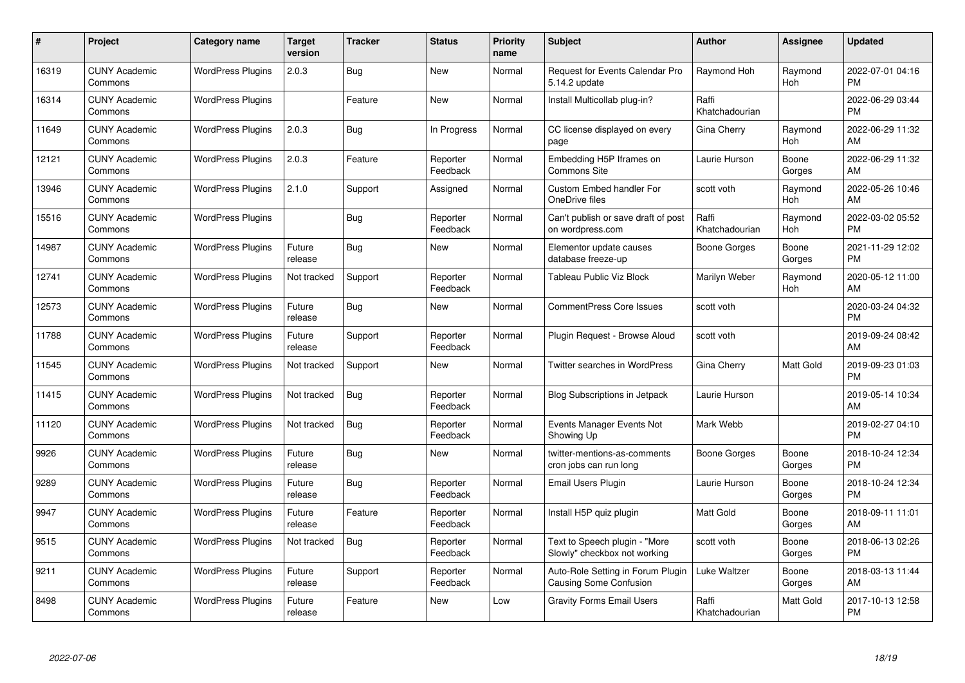| #     | Project                         | Category name            | Target<br>version | <b>Tracker</b> | <b>Status</b>        | <b>Priority</b><br>name | <b>Subject</b>                                                     | <b>Author</b>           | Assignee        | <b>Updated</b>                |
|-------|---------------------------------|--------------------------|-------------------|----------------|----------------------|-------------------------|--------------------------------------------------------------------|-------------------------|-----------------|-------------------------------|
| 16319 | <b>CUNY Academic</b><br>Commons | <b>WordPress Plugins</b> | 2.0.3             | Bug            | <b>New</b>           | Normal                  | <b>Request for Events Calendar Pro</b><br>5.14.2 update            | Raymond Hoh             | Raymond<br>Hoh  | 2022-07-01 04:16<br><b>PM</b> |
| 16314 | <b>CUNY Academic</b><br>Commons | <b>WordPress Plugins</b> |                   | Feature        | <b>New</b>           | Normal                  | Install Multicollab plug-in?                                       | Raffi<br>Khatchadourian |                 | 2022-06-29 03:44<br><b>PM</b> |
| 11649 | <b>CUNY Academic</b><br>Commons | <b>WordPress Plugins</b> | 2.0.3             | Bug            | In Progress          | Normal                  | CC license displayed on every<br>page                              | Gina Cherry             | Raymond<br>Hoh  | 2022-06-29 11:32<br>AM        |
| 12121 | <b>CUNY Academic</b><br>Commons | <b>WordPress Plugins</b> | 2.0.3             | Feature        | Reporter<br>Feedback | Normal                  | Embedding H5P Iframes on<br>Commons Site                           | Laurie Hurson           | Boone<br>Gorges | 2022-06-29 11:32<br>AM        |
| 13946 | <b>CUNY Academic</b><br>Commons | <b>WordPress Plugins</b> | 2.1.0             | Support        | Assigned             | Normal                  | Custom Embed handler For<br>OneDrive files                         | scott voth              | Raymond<br>Hoh  | 2022-05-26 10:46<br>AM        |
| 15516 | <b>CUNY Academic</b><br>Commons | <b>WordPress Plugins</b> |                   | <b>Bug</b>     | Reporter<br>Feedback | Normal                  | Can't publish or save draft of post<br>on wordpress.com            | Raffi<br>Khatchadourian | Raymond<br>Hoh  | 2022-03-02 05:52<br><b>PM</b> |
| 14987 | <b>CUNY Academic</b><br>Commons | <b>WordPress Plugins</b> | Future<br>release | Bug            | New                  | Normal                  | Elementor update causes<br>database freeze-up                      | Boone Gorges            | Boone<br>Gorges | 2021-11-29 12:02<br><b>PM</b> |
| 12741 | <b>CUNY Academic</b><br>Commons | <b>WordPress Plugins</b> | Not tracked       | Support        | Reporter<br>Feedback | Normal                  | Tableau Public Viz Block                                           | Marilyn Weber           | Raymond<br>Hoh  | 2020-05-12 11:00<br><b>AM</b> |
| 12573 | <b>CUNY Academic</b><br>Commons | <b>WordPress Plugins</b> | Future<br>release | Bug            | New                  | Normal                  | <b>CommentPress Core Issues</b>                                    | scott voth              |                 | 2020-03-24 04:32<br><b>PM</b> |
| 11788 | <b>CUNY Academic</b><br>Commons | <b>WordPress Plugins</b> | Future<br>release | Support        | Reporter<br>Feedback | Normal                  | Plugin Request - Browse Aloud                                      | scott voth              |                 | 2019-09-24 08:42<br>AM        |
| 11545 | <b>CUNY Academic</b><br>Commons | <b>WordPress Plugins</b> | Not tracked       | Support        | New                  | Normal                  | Twitter searches in WordPress                                      | Gina Cherry             | Matt Gold       | 2019-09-23 01:03<br><b>PM</b> |
| 11415 | <b>CUNY Academic</b><br>Commons | <b>WordPress Plugins</b> | Not tracked       | Bug            | Reporter<br>Feedback | Normal                  | Blog Subscriptions in Jetpack                                      | Laurie Hurson           |                 | 2019-05-14 10:34<br><b>AM</b> |
| 11120 | <b>CUNY Academic</b><br>Commons | <b>WordPress Plugins</b> | Not tracked       | Bug            | Reporter<br>Feedback | Normal                  | Events Manager Events Not<br>Showing Up                            | Mark Webb               |                 | 2019-02-27 04:10<br><b>PM</b> |
| 9926  | <b>CUNY Academic</b><br>Commons | <b>WordPress Plugins</b> | Future<br>release | Bug            | New                  | Normal                  | twitter-mentions-as-comments<br>cron jobs can run long             | Boone Gorges            | Boone<br>Gorges | 2018-10-24 12:34<br><b>PM</b> |
| 9289  | <b>CUNY Academic</b><br>Commons | <b>WordPress Plugins</b> | Future<br>release | <b>Bug</b>     | Reporter<br>Feedback | Normal                  | Email Users Plugin                                                 | Laurie Hurson           | Boone<br>Gorges | 2018-10-24 12:34<br><b>PM</b> |
| 9947  | <b>CUNY Academic</b><br>Commons | <b>WordPress Plugins</b> | Future<br>release | Feature        | Reporter<br>Feedback | Normal                  | Install H5P quiz plugin                                            | <b>Matt Gold</b>        | Boone<br>Gorges | 2018-09-11 11:01<br><b>AM</b> |
| 9515  | <b>CUNY Academic</b><br>Commons | <b>WordPress Plugins</b> | Not tracked       | Bug            | Reporter<br>Feedback | Normal                  | Text to Speech plugin - "More<br>Slowly" checkbox not working      | scott voth              | Boone<br>Gorges | 2018-06-13 02:26<br><b>PM</b> |
| 9211  | <b>CUNY Academic</b><br>Commons | <b>WordPress Plugins</b> | Future<br>release | Support        | Reporter<br>Feedback | Normal                  | Auto-Role Setting in Forum Plugin<br><b>Causing Some Confusion</b> | Luke Waltzer            | Boone<br>Gorges | 2018-03-13 11:44<br>AM        |
| 8498  | <b>CUNY Academic</b><br>Commons | <b>WordPress Plugins</b> | Future<br>release | Feature        | <b>New</b>           | Low                     | <b>Gravity Forms Email Users</b>                                   | Raffi<br>Khatchadourian | Matt Gold       | 2017-10-13 12:58<br>PM        |